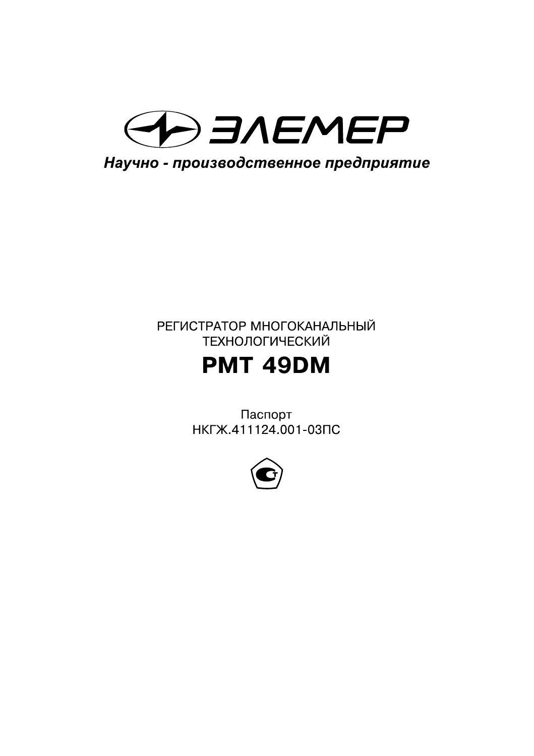

# РЕГИСТРАТОР МНОГОКАНАЛЬНЫЙ ТЕХНОЛОГИЧЕСКИЙ

# **PMT 49DM**

Паспорт НКГЖ 411124.001-03ПС

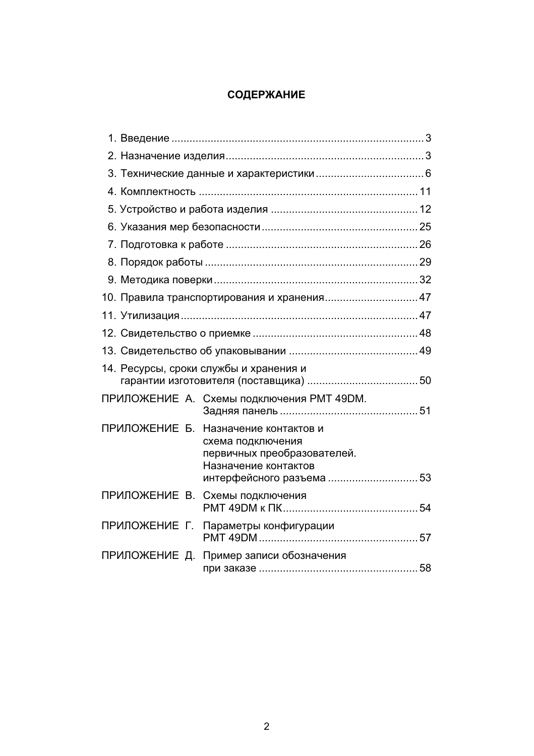# СОДЕРЖАНИЕ

|               | 10. Правила транспортирования и хранения 47                                                                                                   |  |  |  |  |  |  |
|---------------|-----------------------------------------------------------------------------------------------------------------------------------------------|--|--|--|--|--|--|
|               |                                                                                                                                               |  |  |  |  |  |  |
|               |                                                                                                                                               |  |  |  |  |  |  |
|               |                                                                                                                                               |  |  |  |  |  |  |
|               | 14. Ресурсы, сроки службы и хранения и                                                                                                        |  |  |  |  |  |  |
|               | ПРИЛОЖЕНИЕ А. Схемы подключения РМТ 49DM.                                                                                                     |  |  |  |  |  |  |
|               | ПРИЛОЖЕНИЕ Б. Назначение контактов и<br>схема подключения<br>первичных преобразователей.<br>Назначение контактов<br>интерфейсного разъема  53 |  |  |  |  |  |  |
| ПРИЛОЖЕНИЕ В. | Схемы подключения                                                                                                                             |  |  |  |  |  |  |
| ПРИЛОЖЕНИЕ Г. | Параметры конфигурации                                                                                                                        |  |  |  |  |  |  |
| ПРИЛОЖЕНИЕ Д. | Пример записи обозначения                                                                                                                     |  |  |  |  |  |  |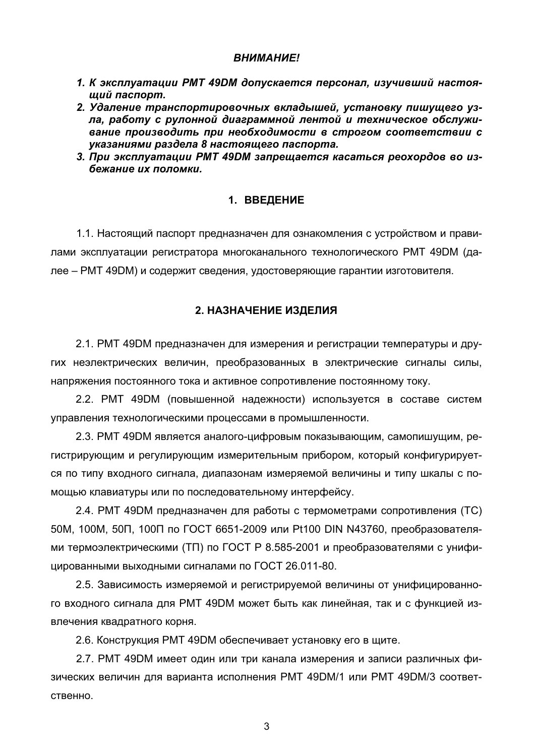#### **RHUMAHUFI**

- 1. К эксплуатации РМТ 49DM допускается персонал, изучивший настояший паспорт.
- 2. Удаление транспортировочных вкладышей, установку пишущего узла, работу с рулонной диаграммной лентой и техническое обслуживание производить при необходимости в строгом соответствии с указаниями раздела 8 настоящего паспорта.
- 3. При эксплуатации РМТ 49DM запрещается касаться реохордов во избежание их поломки.

#### 1. ВВЕДЕНИЕ

1.1. Настоящий паспорт предназначен для ознакомления с устройством и правилами эксплуатации регистратора многоканального технологического РМТ 49DM (далее - РМТ 49DM) и содержит сведения, удостоверяющие гарантии изготовителя.

## 2. НАЗНАЧЕНИЕ ИЗДЕЛИЯ

2.1. PMT 49DM предназначен для измерения и регистрации температуры и других неэлектрических величин, преобразованных в электрические сигналы силы, напряжения постоянного тока и активное сопротивление постоянному току.

2.2. РМТ 49DM (повышенной надежности) используется в составе систем управления технологическими процессами в промышленности.

2.3. РМТ 49DM является аналого-цифровым показывающим, самопишущим, регистрирующим и регулирующим измерительным прибором, который конфигурируется по типу входного сигнала, диапазонам измеряемой величины и типу шкалы с помощью клавиатуры или по последовательному интерфейсу.

2.4. PMT 49DM предназначен для работы с термометрами сопротивления (TC) 50M, 100M, 50П, 100П по ГОСТ 6651-2009 или Pt100 DIN N43760, преобразователями термоэлектрическими (ТП) по ГОСТ Р 8.585-2001 и преобразователями с унифицированными выходными сигналами по ГОСТ 26.011-80.

2.5. Зависимость измеряемой и регистрируемой величины от унифицированного входного сигнала для РМТ 49DM может быть как линейная, так и с функцией извлечения квадратного корня.

2.6. Конструкция РМТ 49DM обеспечивает установку его в шите.

2.7. PMT 49DM имеет один или три канала измерения и записи различных физических величин для варианта исполнения РМТ 49DM/1 или РМТ 49DM/3 соответственно.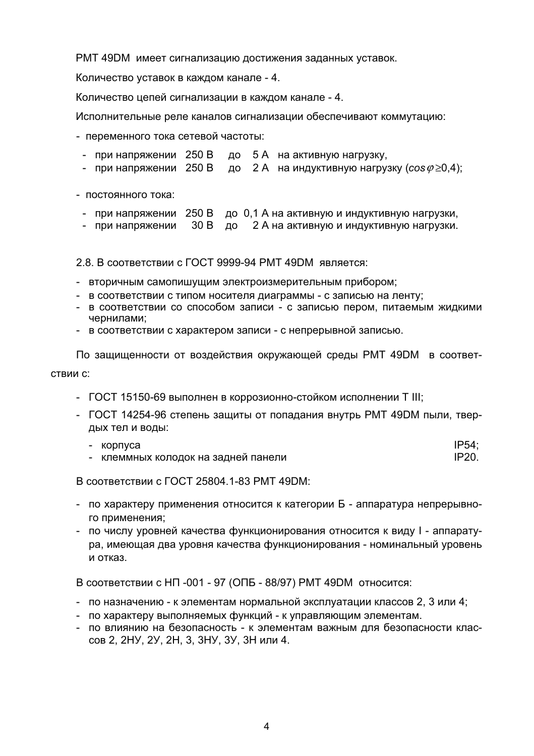PMT 49DM имеет сигнализацию достижения заданных уставок.

Количество уставок в каждом канале - 4.

Количество цепей сигнализации в каждом канале - 4.

Исполнительные реле каналов сигнализации обеспечивают коммутацию:

- переменного тока сетевой частоты:

- при напряжении 250 В до 5А на активную нагрузку.
- при напряжении 250 В до 2 А на индуктивную нагрузку ( $cos \varphi \ge 0.4$ );

- постоянного тока:

- при напряжении 250 В до 0.1 А на активную и индуктивную нагрузки.
- при напряжении 30 В до 2 А на активную и индуктивную нагрузки.

2.8. В соответствии с ГОСТ 9999-94 PMT 49DM является:

- вторичным самопишущим электроизмерительным прибором;
- в соответствии с типом носителя диаграммы с записью на ленту:
- в соответствии со способом записи с записью пером. питаемым жидкими чернилами:
- в соответствии с характером записи с непрерывной записью.

По зашишенности от воздействия окружающей среды РМТ 49DM в соответствии с:

- ГОСТ 15150-69 выполнен в коррозионно-стойком исполнении Т III;
- ГОСТ 14254-96 степень зашиты от попадания внутрь РМТ 49DM пыли, твердых тел и воды:

| - корпуса                           | IP54: |
|-------------------------------------|-------|
| - клеммных колодок на задней панели | IP20. |

- клеммных колодок на задней панели

В соответствии с ГОСТ 25804.1-83 РМТ 49DM:

- по характеру применения относится к категории Б аппаратура непрерывного применения;
- по числу уровней качества функционирования относится к виду I аппаратура, имеющая два уровня качества функционирования - номинальный уровень и отказ.

В соответствии с НП -001 - 97 (ОПБ - 88/97) РМТ 49DM относится:

- по назначению к элементам нормальной эксплуатации классов 2, 3 или 4;
- по характеру выполняемых функций к управляющим элементам.
- по влиянию на безопасность к элементам важным для безопасности классов 2, 2НУ, 2У, 2Н, 3, 3НУ, 3У, 3Н или 4.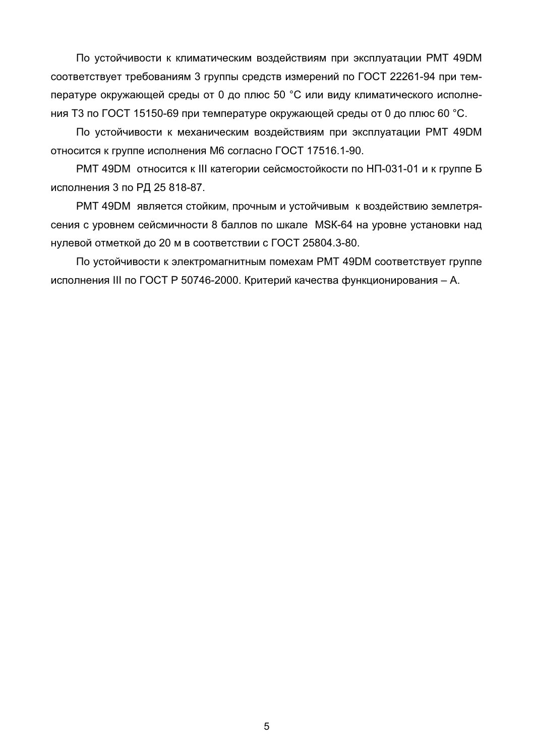По устойчивости к климатическим воздействиям при эксплуатации РМТ 49DM соответствует требованиям 3 группы средств измерений по ГОСТ 22261-94 при температуре окружающей среды от 0 до плюс 50 °С или виду климатического исполнения Т3 по ГОСТ 15150-69 при температуре окружающей среды от 0 до плюс 60 °С.

По устойчивости к механическим воздействиям при эксплуатации РМТ 49DM относится к группе исполнения М6 согласно ГОСТ 17516.1-90.

РМТ 49DM относится к III категории сейсмостойкости по НП-031-01 и к группе Б исполнения 3 по РД 25 818-87.

РМТ 49DM является стойким, прочным и устойчивым к воздействию землетрясения с уровнем сейсмичности 8 баллов по шкале MSK-64 на уровне установки над нулевой отметкой до 20 м в соответствии с ГОСТ 25804.3-80.

По устойчивости к электромагнитным помехам РМТ 49DM соответствует группе исполнения III по ГОСТ Р 50746-2000. Критерий качества функционирования - А.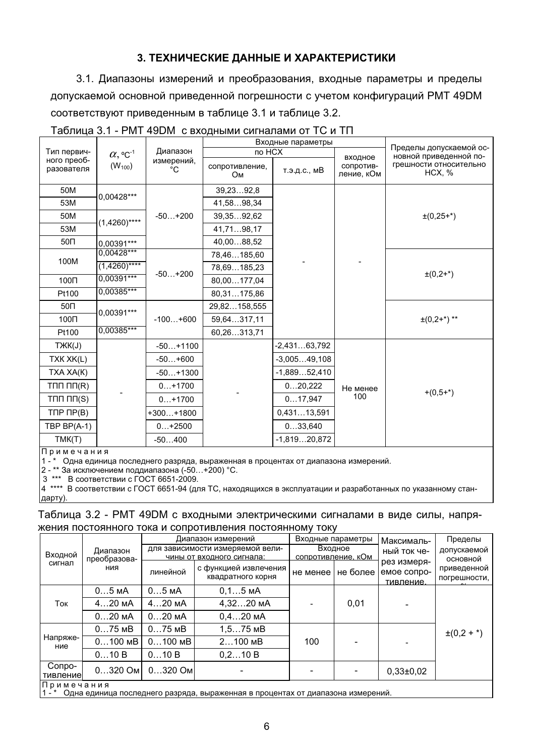## 3. ТЕХНИЧЕСКИЕ ДАННЫЕ И ХАРАКТЕРИСТИКИ

3.1. Диапазоны измерений и преобразования, входные параметры и пределы допускаемой основной приведенной погрешности с учетом конфигураций РМТ 49DM соответствуют приведенным в таблице 3.1 и таблице 3.2.

|                           |                             |                  |                       | Входные параметры |                         | Пределы допускаемой ос-                 |  |
|---------------------------|-----------------------------|------------------|-----------------------|-------------------|-------------------------|-----------------------------------------|--|
| Тип первич-               | $\alpha$ , °C <sup>-1</sup> | Диапазон         | по HCX                |                   | входное                 | новной приведенной по-                  |  |
| ного преоб-<br>разователя | $(W_{100})$                 | измерений,<br>°C | сопротивление,<br>Oм. | т.э.д.с., мВ      | сопротив-<br>ление, кОм | грешности относительно<br><b>HCX, %</b> |  |
| 50M                       | 0,00428***                  |                  | 39,2392,8             |                   |                         |                                         |  |
| 53M                       |                             |                  | 41.5898.34            |                   |                         |                                         |  |
| 50M                       | $(1,4260)$ ****             | $-50+200$        | 39,3592,62            |                   |                         | $\pm(0,25^{+})$                         |  |
| 53M                       |                             |                  | 41,7198,17            |                   |                         |                                         |  |
| 50 <sub>0</sub>           | $0,00391***$                |                  | 40,0088,52            |                   |                         |                                         |  |
| 100M                      | $0,00428***$                |                  | 78,46185,60           |                   |                         |                                         |  |
|                           | $(1,4260)$ ****             | $-50+200$        | 78,69185,23           |                   |                         |                                         |  |
| 100 <sub>U</sub>          | 0,00391***                  |                  | 80,00177,04           |                   |                         | $\pm (0, 2+*)$                          |  |
| Pt100                     | 0.00385***                  |                  | 80,31175,86           |                   |                         |                                         |  |
| 50 <sub>II</sub>          | 0,00391***                  |                  | 29,82158,555          |                   |                         |                                         |  |
| 100 <sub>U</sub>          | $-100+600$                  |                  | 59,64317,11           |                   |                         | $\pm (0, 2+*)$ **                       |  |
| Pt100                     | $0.00385***$                |                  | 60,26313,71           |                   |                         |                                         |  |
| TXKK(J)                   |                             | $-50+1100$       |                       | $-2,43163,792$    |                         |                                         |  |
| TXK XK(L)                 |                             | $-50+600$        |                       | $-3,00549,108$    |                         |                                         |  |
| TXA XA(K)                 |                             | $-50+1300$       |                       | $-1,88952,410$    |                         |                                         |  |
| $T \Pi \Pi \Pi \Pi(R)$    |                             | $0+1700$         |                       | 020,222           | Не менее                |                                         |  |
| TNN NN(S)                 |                             | $0+1700$         |                       | 017,947           | 100                     | $+(0.5+*)$                              |  |
| TNP $\Pi P(B)$            |                             | $+300+1800$      |                       | 0,43113,591       |                         |                                         |  |
| TBP $BP(A-1)$             |                             | $0+2500$         |                       | 033,640           |                         |                                         |  |
| TMK(T)                    |                             | $-50400$         |                       | $-1,81920,872$    |                         |                                         |  |

#### Таблица 3.1 - РМТ 49DM с входными сигналами от ТС и ТП

Примечания

1 - \* Одна единица последнего разряда, выраженная в процентах от диапазона измерений.

- 2 - \*\* За исключением поддиапазона (-50...+200) °С.<br>2 - \*\* За исключением поддиапазона (-50...+200) °С.<br>3 \*\*\* В соответствии с ГОСТ 6651-2009.

14 \*\*\*\* В соответствии с ГОСТ 6651-94 (для ТС, находящихся в эксплуатации и разработанных по указанному стандарту).

|  | Таблица 3.2 - РМТ 49DM с входными электрическими сигналами в виде силы, напря- |  |  |
|--|--------------------------------------------------------------------------------|--|--|
|  | жения постоянного тока и сопротивления постоянному току                        |  |  |

|                    |              | Диапазон измерений               |                                            | Входные параметры |                    | Максималь-                              | Пределы                     |  |  |
|--------------------|--------------|----------------------------------|--------------------------------------------|-------------------|--------------------|-----------------------------------------|-----------------------------|--|--|
|                    | Диапазон     | для зависимости измеряемой вели- |                                            | Входное           |                    | ный ток че-                             | допускаемой                 |  |  |
| Входной            | преобразова- |                                  | чины от входного сигнала:                  |                   | сопротивление, кОм |                                         | основной                    |  |  |
| сигнал             | ния          | линейной                         | с функцией извлечения<br>квадратного корня | не менее          | не более           | рез измеря-<br>емое сопро-<br>тивление. | приведенной<br>погрешности, |  |  |
|                    | $05$ MA      | $05$ MA                          | $0, 15$ MA                                 |                   |                    |                                         |                             |  |  |
| Ток                | $420$ MA     | $420$ MA                         | 4,3220 MA                                  |                   | 0,01               |                                         |                             |  |  |
|                    | $020$ MA     | $020$ MA                         | $0.420$ MA                                 |                   |                    |                                         |                             |  |  |
|                    | $075$ MB     | $075$ MB                         | $1, 575$ MB                                |                   |                    |                                         | $\pm(0,2 + \star)$          |  |  |
| Напряже-<br>ние    | $0100$ MB    | $0100$ MB                        | $2100$ MB                                  | 100               |                    |                                         |                             |  |  |
|                    | 010B         | 010B                             | 0, 210 B                                   |                   |                    |                                         |                             |  |  |
| Сопро-<br>тивление | $0320$ Om    | $0320$ O <sub>M</sub>            |                                            |                   |                    | $0,33\pm0,02$                           |                             |  |  |
|                    | Примечания   |                                  |                                            |                   |                    |                                         |                             |  |  |

1- \* Одна единица последнего разряда, выраженная в процентах от диапазона измерений.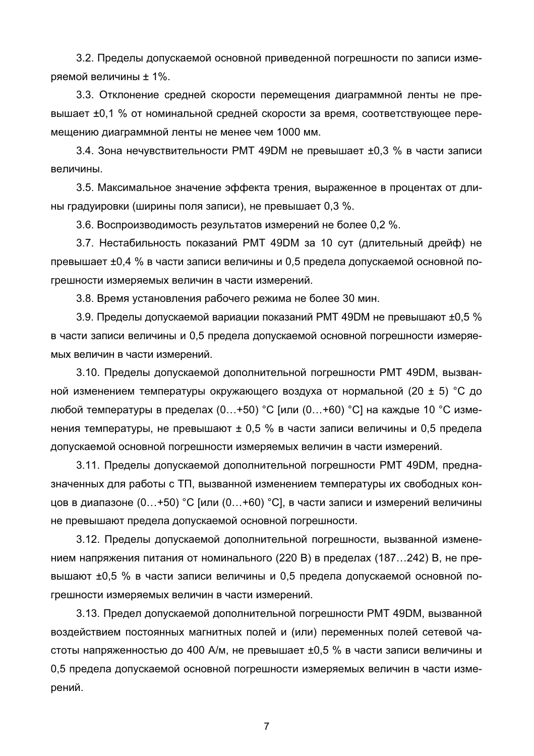3.2. Пределы допускаемой основной приведенной погрешности по записи измеряемой величины ± 1%.

3.3. Отклонение средней скорости перемещения диаграммной ленты не превышает ±0,1 % от номинальной средней скорости за время, соответствующее перемещению диаграммной ленты не менее чем 1000 мм.

3.4. Зона нечувствительности РМТ 49DM не превышает  $\pm 0.3$  % в части записи величины.

3.5. Максимальное значение эффекта трения, выраженное в процентах от длины градуировки (ширины поля записи), не превышает 0.3 %.

3.6. Воспроизводимость результатов измерений не более 0.2 %.

3.7. Нестабильность показаний РМТ 49DM за 10 сут (длительный дрейф) не превышает ±0.4 % в части записи величины и 0.5 предела допускаемой основной погрешности измеряемых величин в части измерений.

3.8. Время установления рабочего режима не более 30 мин.

3.9. Пределы допускаемой вариации показаний РМТ 49DM не превышают  $\pm 0.5$  % в части записи величины и 0.5 предела допускаемой основной погрешности измеряемых величин в части измерений.

3.10. Пределы допускаемой дополнительной погрешности РМТ 49DM, вызванной изменением температуры окружающего воздуха от нормальной (20 ± 5) °С до любой температуры в пределах (0...+50) °С [или (0...+60) °С] на каждые 10 °С изменения температуры, не превышают  $\pm$  0,5 % в части записи величины и 0,5 предела допускаемой основной погрешности измеряемых величин в части измерений.

3.11. Пределы допускаемой дополнительной погрешности РМТ 49DM, предназначенных для работы с ТП, вызванной изменением температуры их свободных концов в диапазоне (0...+50) °С [или (0...+60) °С], в части записи и измерений величины не превышают предела допускаемой основной погрешности.

3.12. Пределы допускаемой дополнительной погрешности, вызванной изменением напряжения питания от номинального (220 В) в пределах (187...242) В, не превышают ±0.5 % в части записи величины и 0.5 предела допускаемой основной погрешности измеряемых величин в части измерений.

3.13. Предел допускаемой дополнительной погрешности РМТ 49DM, вызванной воздействием постоянных магнитных полей и (или) переменных полей сетевой частоты напряженностью до 400 А/м, не превышает ±0,5 % в части записи величины и 0,5 предела допускаемой основной погрешности измеряемых величин в части измерений.

 $\overline{7}$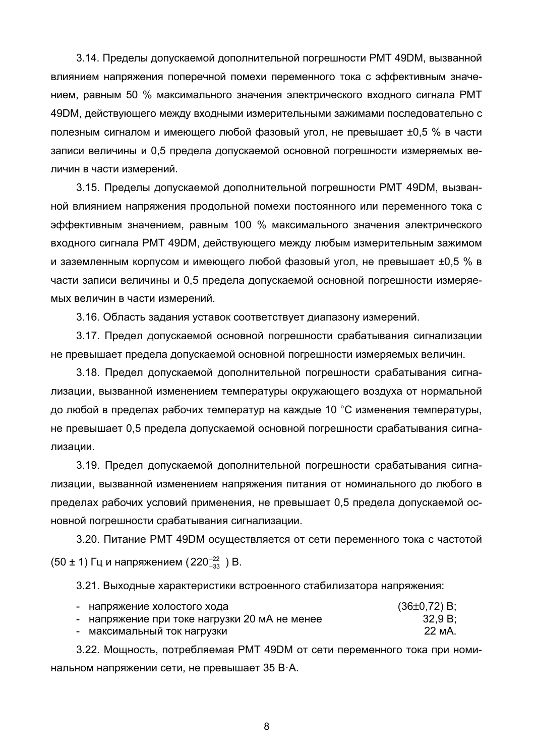3.14. Пределы допускаемой дополнительной погрешности РМТ 49DM. вызванной влиянием напряжения поперечной помехи переменного тока с эффективным значением, равным 50 % максимального значения электрического входного сигнала РМТ 49DM, действующего между входными измерительными зажимами последовательно с полезным сигналом и имеющего любой фазовый угол, не превышает ±0,5 % в части записи величины и 0.5 предела допускаемой основной погрешности измеряемых величин в части измерений.

3.15. Пределы допускаемой дополнительной погрешности РМТ 49DM, вызванной влиянием напряжения продольной помехи постоянного или переменного тока с эффективным значением, равным 100 % максимального значения электрического входного сигнала РМТ 49DM, действующего между любым измерительным зажимом и заземленным корпусом и имеющего любой фазовый угол, не превышает ±0.5 % в части записи величины и 0,5 предела допускаемой основной погрешности измеряемых величин в части измерений.

3.16. Область задания уставок соответствует диапазону измерений.

3.17. Предел допускаемой основной погрешности срабатывания сигнализации не превышает предела допускаемой основной погрешности измеряемых величин.

3.18. Предел допускаемой дополнительной погрешности срабатывания сигнализации, вызванной изменением температуры окружающего воздуха от нормальной до любой в пределах рабочих температур на каждые 10 °С изменения температуры, не превышает 0,5 предела допускаемой основной погрешности срабатывания сигнализации.

3.19. Предел допускаемой дополнительной погрешности срабатывания сигнализации, вызванной изменением напряжения питания от номинального до любого в пределах рабочих условий применения, не превышает 0,5 предела допускаемой основной погрешности срабатывания сигнализации.

3.20. Питание РМТ 49DM осуществляется от сети переменного тока с частотой  $(50 \pm 1)$  Гц и напряжением (220 $^{+22}_{-33}$ ) В.

3.21. Выходные характеристики встроенного стабилизатора напряжения:

| - напряжение холостого хода                   | $(36\pm0.72)$ B; |
|-----------------------------------------------|------------------|
| - напряжение при токе нагрузки 20 мА не менее | 32.9 B:          |
| - максимальный ток нагрузки                   | 22 мА.           |

3.22. Мощность, потребляемая РМТ 49DM от сети переменного тока при номинальном напряжении сети, не превышает 35 В·А.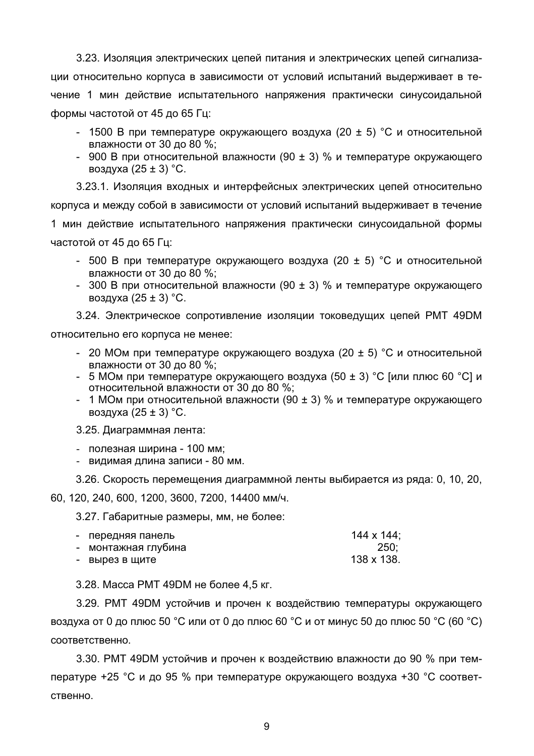3.23. Изоляция электрических цепей питания и электрических цепей сигнализации относительно корпуса в зависимости от условий испытаний выдерживает в течение 1 мин действие испытательного напряжения практически синусоидальной формы частотой от 45 до 65 Гц.

- $-$  1500 В при температуре окружающего воздуха (20  $\pm$  5) °С и относительной влажности от 30 до 80 %:
- $-$  900 В при относительной влажности (90  $\pm$  3) % и температуре окружающего воздуха  $(25 \pm 3)$  °C.

3.23.1. Изоляция входных и интерфейсных электрических цепей относительно корпуса и между собой в зависимости от условий испытаний выдерживает в течение 1 мин действие испытательного напряжения практически синусоидальной формы частотой от 45 ло 65  $\Gamma$ и:

- $-$  500 В при температуре окружающего воздуха (20  $\pm$  5) °С и относительной влажности от 30 до 80 %:
- 300 В при относительной влажности (90  $\pm$  3) % и температуре окружающего воздуха  $(25 \pm 3)$  °C.

3.24. Электрическое сопротивление изоляции токоведущих цепей PMT 49DM

относительно его корпуса не менее:

- $-$  20 МОм при температуре окружающего воздуха (20  $\pm$  5) °С и относительной влажности от 30 до 80 %:
- 5 МОм при температуре окружающего воздуха (50 ± 3) °С [или плюс 60 °С] и относительной влажности от 30 до 80 %;
- 1 МОм при относительной влажности (90  $\pm$  3) % и температуре окружающего воздуха (25 ± 3) °C.
- 3.25. Диаграммная лента:
- $-$  полезная ширина 100 мм:
- $-$  видимая длина записи 80 мм.

3.26. Скорость перемешения диаграммной ленты выбирается из ряда; 0, 10, 20,

60, 120, 240, 600, 1200, 3600, 7200, 14400 мм/ч.

3.27. Габаритные размеры, мм. не более:

| - передняя панель   | 144 x 144: |
|---------------------|------------|
| - монтажная глубина | 250:       |
| - вырез в щите      | 138 x 138. |

3.28. Масса РМТ 49DM не более 4.5 кг.

3.29. РМТ 49DM устойчив и прочен к воздействию температуры окружающего воздуха от 0 до плюс 50 °C или от 0 до плюс 60 °C и от минус 50 до плюс 50 °C (60 °C) COOTBATCTBAHHO

3.30. PMT 49DM устойчив и прочен к воздействию влажности до 90 % при температуре +25 °С и до 95 % при температуре окружающего воздуха +30 °С соответственно.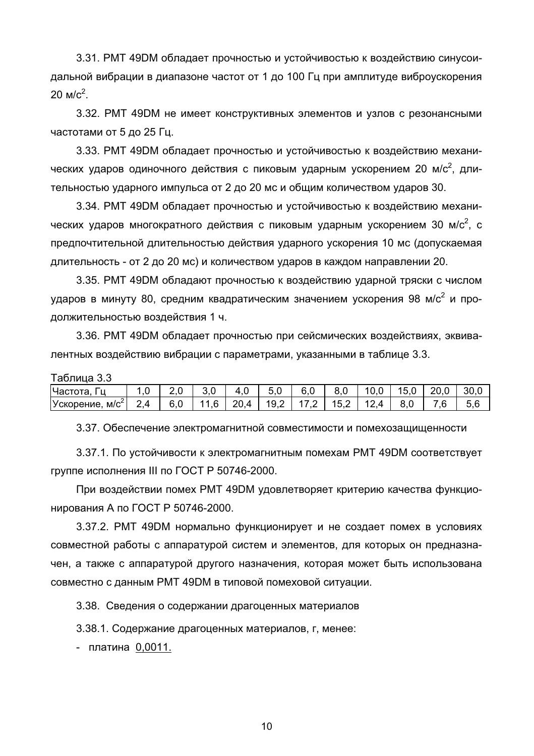3.31. РМТ 49DM обладает прочностью и устойчивостью к воздействию синусоидальной вибрации в диапазоне частот от 1 до 100 Гц при амплитуде виброускорения  $20 \text{ M/c}^2$ .

3.32. PMT 49DM не имеет конструктивных элементов и узлов с резонансными частотами от 5 до 25 Гц.

3.33. РМТ 49DM обладает прочностью и устойчивостью к воздействию механических ударов одиночного действия с пиковым ударным ускорением 20 м/с<sup>2</sup>. длительностью ударного импульса от 2 до 20 мс и общим количеством ударов 30.

3.34. РМТ 49DM обладает прочностью и устойчивостью к воздействию механических ударов многократного действия с пиковым ударным ускорением 30 м/с<sup>2</sup>. с предпочтительной длительностью действия ударного ускорения 10 мс (допускаемая длительность - от 2 до 20 мс) и количеством ударов в каждом направлении 20.

 $3.35.$  PMT 49DM обладают прочностью к воздействию ударной тряски с числом ударов в минуту 80. средним квадратическим значением ускорения 98 м/с<sup>2</sup> и продолжительностью воздействия 1 ч.

3.36. РМТ 49DM обладает прочностью при сейсмических воздействиях, эквивалентных воздействию вибрации с параметрами, указанными в таблице 3.3.

 $Ta6nula 3.3$ 

| Частота.                       |    |     |      | 4.U  | 5.0  | 6.0                 | 8.0  | 10.0 | 15.U | 20.<br>.0 | 30.0 |
|--------------------------------|----|-----|------|------|------|---------------------|------|------|------|-----------|------|
| Ускорение.<br>M/C <sup>2</sup> | 24 | 6.0 | 11.6 | 20.4 | 19.2 | 17.2 $\blacksquare$ | 15.2 | 12.4 | 8.0  | ี 6       | 5.6  |

3.37. Обеспечение электромагнитной совместимости и помехозашищенности

3.37.1. По устойчивости к электромагнитным помехам PMT 49DM соответствует группе исполнения III по ГОСТ Р 50746-2000.

При воздействии помех PMT 49DM удовлетворяет критерию качества функционирования A по ГОСТ Р 50746-2000.

 $3.37.2$ . PMT 49DM нормально функционирует и не создает помех в условиях совместной работы с аппаратурой систем и элементов, для которых он предназначен, а также с аппаратурой другого назначения, которая может быть использована совместно с данным РМТ 49DM в типовой помеховой ситуации.

3.38. Сведения о содержании драгоценных материалов

3.38.1. Содержание драгоценных материалов, г, менее:

 $-$  платина 0,0011.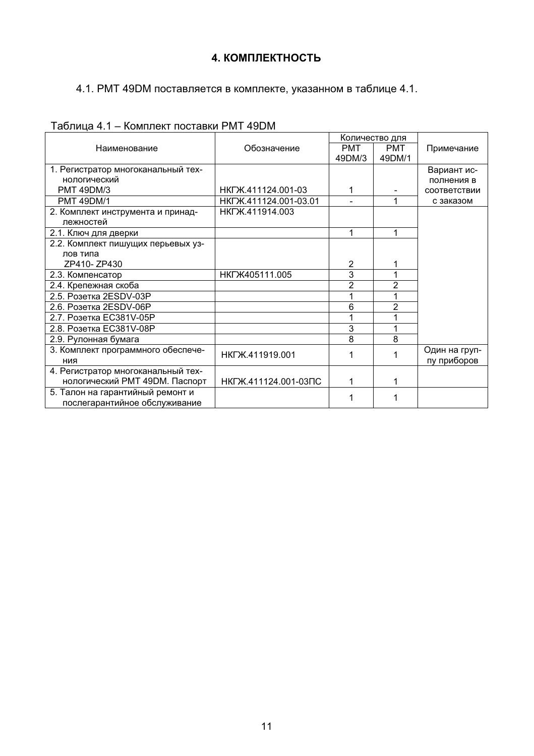# 4. КОМПЛЕКТНОСТЬ

# 4.1. РМТ 49DM поставляется в комплекте, указанном в таблице 4.1.

# Таблица 4.1 – Комплект поставки РМТ 49DM

|                                    |                        |                | Количество для |               |
|------------------------------------|------------------------|----------------|----------------|---------------|
| Наименование                       | Обозначение            | <b>PMT</b>     | <b>PMT</b>     | Примечание    |
|                                    |                        | 49DM/3         | 49DM/1         |               |
| 1. Регистратор многоканальный тех- |                        |                |                | Вариант ис-   |
| нологический                       |                        |                |                | полнения в    |
| <b>PMT 49DM/3</b>                  | HKTXK.411124.001-03    | 1              |                | СООТВЕТСТВИИ  |
| <b>PMT 49DM/1</b>                  | HKTXK.411124.001-03.01 |                |                | с заказом     |
| 2. Комплект инструмента и принад-  | HKTX.411914.003        |                |                |               |
| лежностей                          |                        |                |                |               |
| 2.1. Ключ для дверки               |                        | 1              | 1              |               |
| 2.2. Комплект пишущих перьевых уз- |                        |                |                |               |
| лов типа                           |                        |                |                |               |
| ZP410-ZP430                        |                        | 2              |                |               |
| 2.3. Компенсатор                   | НКГЖ405111.005         | 3              |                |               |
| 2.4. Крепежная скоба               |                        | $\overline{2}$ | $\overline{2}$ |               |
| 2.5. Розетка 2ESDV-03P             |                        |                |                |               |
| 2.6. Розетка 2ESDV-06P             |                        | 6              | $\overline{2}$ |               |
| 2.7. Розетка EC381V-05P            |                        |                |                |               |
| 2.8. Розетка EC381V-08P            |                        | 3              |                |               |
| 2.9. Рулонная бумага               |                        | 8              | 8              |               |
| 3. Комплект программного обеспече- | HKTX.411919.001        |                |                | Один на груп- |
| ния                                |                        |                |                | пу приборов   |
| 4. Регистратор многоканальный тех- |                        |                |                |               |
| нологический РМТ 49DM. Паспорт     | HKFX-411124.001-03 TC  | 1              | 1              |               |
| 5. Талон на гарантийный ремонт и   |                        |                |                |               |
| послегарантийное обслуживание      |                        |                |                |               |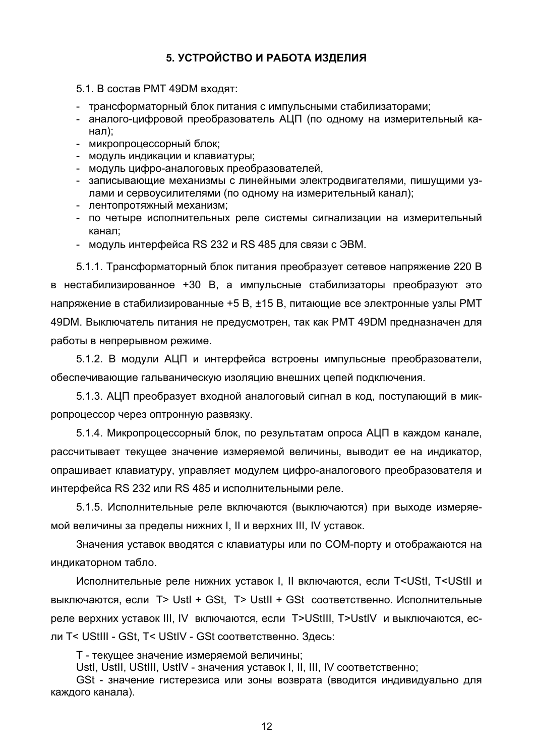## 5. УСТРОЙСТВО И РАБОТА ИЗДЕЛИЯ

#### 5.1. В состав РМТ 49DM входят:

- трансформаторный блок питания с импульсными стабилизаторами;
- аналого-цифровой преобразователь АЦП (по одному на измерительный канал):
- микропроцессорный блок;
- модуль индикации и клавиатуры:
- модуль цифро-аналоговых преобразователей.
- записывающие механизмы с линейными электродвигателями, пишущими узлами и сервоусилителями (по одному на измерительный канал):
- лентопротяжный механизм:
- по четыре исполнительных реле системы сигнализации на измерительный канал:
- модуль интерфейса RS 232 и RS 485 для связи с ЭВМ.

5.1.1. Трансформаторный блок питания преобразует сетевое напряжение 220 В в нестабилизированное +30 В, а импульсные стабилизаторы преобразуют это напряжение в стабилизированные +5 В, ±15 В, питающие все электронные узлы РМТ 49DM. Выключатель питания не предусмотрен, так как РМТ 49DM предназначен для работы в непрерывном режиме.

5.1.2. В модули АЦП и интерфейса встроены импульсные преобразователи, обеспечивающие гальваническую изоляцию внешних цепей подключения.

5.1.3. АЦП преобразует входной аналоговый сигнал в код, поступающий в микропроцессор через оптронную развязку.

5.1.4. Микропроцессорный блок, по результатам опроса АЦП в каждом канале. рассчитывает текущее значение измеряемой величины, выводит ее на индикатор, опрашивает клавиатуру, управляет модулем цифро-аналогового преобразователя и интерфейса RS 232 или RS 485 и исполнительными реле.

5.1.5. Исполнительные реле включаются (выключаются) при выходе измеряемой величины за пределы нижних I, II и верхних III, IV уставок.

Значения уставок вводятся с клавиатуры или по СОМ-порту и отображаются на индикаторном табло.

Исполнительные реле нижних уставок I, II включаются, если T<UStI, T<UStII и выключаются, если T> Ustl + GSt, T> Ustll + GSt соответственно. Исполнительные реле верхних уставок III, IV включаются, если T>UStIII, T>UstIV и выключаются, если T< UStIII - GSt, T< UStIV - GSt соответственно. Здесь:

Т - текушее значение измеряемой величины:

Ustl. Ustll. UStlll. UstlV - значения уставок І. ІІ. III. IV соответственно:

GSt - значение гистерезиса или зоны возврата (вводится индивидуально для каждого канала).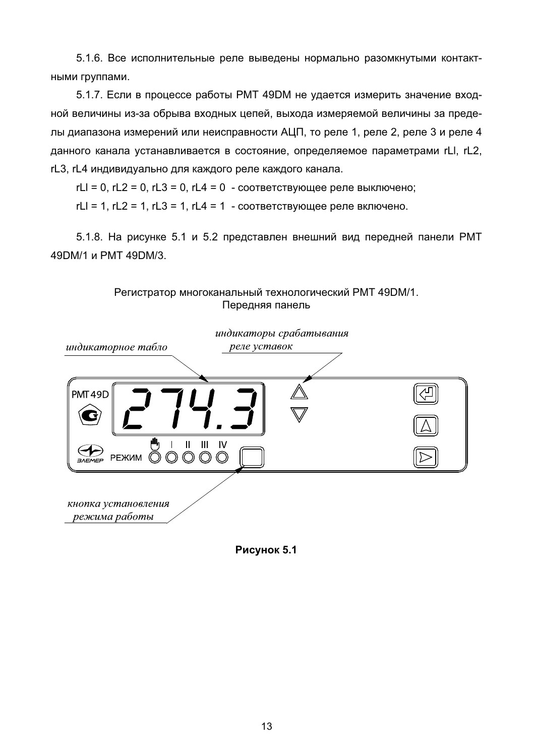5.1.6. Все исполнительные реле выведены нормально разомкнутыми контактными группами.

5.1.7. Если в процессе работы РМТ 49DM не удается измерить значение входной величины из-за обрыва входных цепей, выхода измеряемой величины за пределы диапазона измерений или неисправности АЦП, то реле 1, реле 2, реле 3 и реле 4 данного канала устанавливается в состояние, определяемое параметрами rLI, rL2, rL3. rL4 индивидуально для каждого реле каждого канала.

 $rL1 = 0$ ,  $rL2 = 0$ ,  $rL3 = 0$ ,  $rL4 = 0$  - соответствующее реле выключено;

rLI = 1, rL2 = 1, rL3 = 1, rL4 = 1 - соответствующее реле включено.

5.1.8. На рисунке 5.1 и 5.2 представлен внешний вид передней панели РМТ 49DM/1 и PMT 49DM/3



Регистратор многоканальный технологический РМТ 49DM/1.

Рисунок 5.1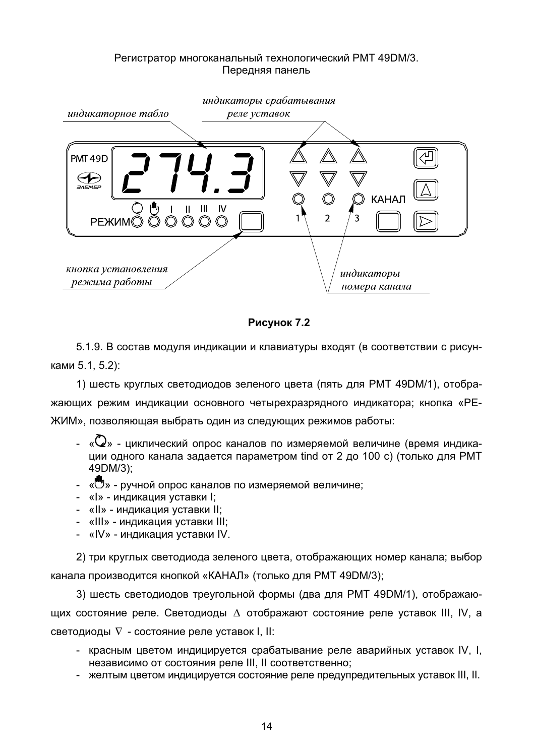#### Регистратор многоканальный технологический РМТ 49DM/3. Передняя панель



Рисунок 7.2

5.1.9. В состав модуля индикации и клавиатуры входят (в соответствии с рисунками 5.1, 5.2):

1) шесть круглых светодиодов зеленого цвета (пять для РМТ 49DM/1), отображающих режим индикации основного четырехразрядного индикатора; кнопка «PE-ЖИМ», позволяющая выбрать один из следующих режимов работы:

- $\sim$  « $\mathbb{Q}_n$  циклический опрос каналов по измеряемой величине (время индикации одного канала задается параметром tind от 2 до 100 с) (только для PMT 49DM/3):
- «<sup>ШИ</sup>» ручной опрос каналов по измеряемой величине;
- «I» индикация уставки I;
- «II» индикация уставки II;
- «III» индикация уставки III;
- «IV» индикация уставки IV.

2) три круглых светодиода зеленого цвета, отображающих номер канала; выбор канала производится кнопкой «КАНАЛ» (только для РМТ 49DM/3);

3) шесть светодиодов треугольной формы (два для РМТ 49DM/1), отображающих состояние реле. Светодиоды  $\Delta$  отображают состояние реле уставок III, IV, а светодиоды ∇ - состояние реле уставок I, II:

- красным цветом индицируется срабатывание реле аварийных уставок IV, I, независимо от состояния реле III, II соответственно;
- желтым цветом индицируется состояние реле предупредительных уставок III. II.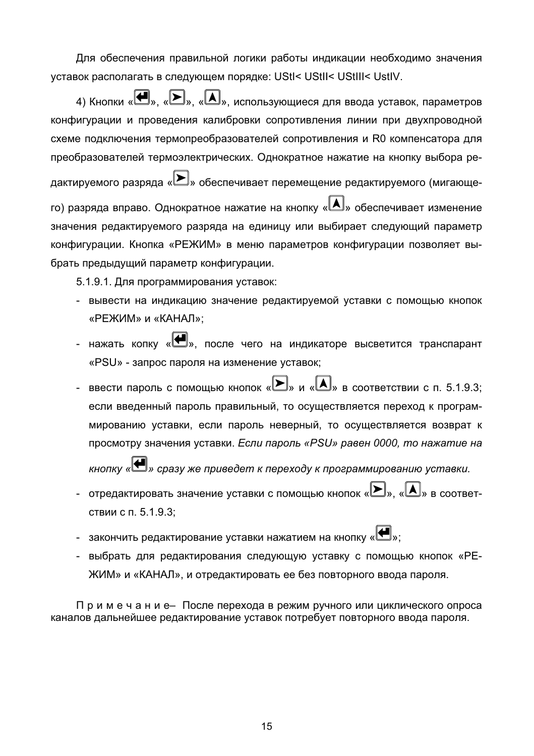Для обеспечения правильной логики работы индикации необходимо значения уставок располагать в следующем порядке: UStl< UStll< UStlll< UstlV.

4) Кнопки « $\bigoplus_{\mathcal{P},\emptyset}$  ( $\bigoplus_{\mathcal{P},\emptyset}$  « $\bigoplus_{\mathcal{P},\emptyset}$  использующиеся для ввода уставок, параметров конфигурации и проведения калибровки сопротивления линии при двухпроводной схеме подключения термопреобразователей сопротивления и R0 компенсатора для преобразователей термоэлектрических. Однократное нажатие на кнопку выбора редактируемого разряда « $\blacktriangleright$ » обеспечивает перемещение редактируемого (мигающего) разряда вправо. Однократное нажатие на кнопку « $\blacksquare$ » обеспечивает изменение значения редактируемого разряда на единицу или выбирает следующий параметр конфигурации. Кнопка «РЕЖИМ» в меню параметров конфигурации позволяет выбрать предыдущий параметр конфигурации.

5.1.9.1. Для программирования уставок:

- вывести на индикацию значение редактируемой уставки с помощью кнопок «РЕЖИМ» и «КАНАЛ»:
- нажать копку « $\blacksquare$ ». после чего на индикаторе высветится транспарант «PSU» - запрос пароля на изменение уставок;
- ввести пароль с помощью кнопок « $\blacktriangleright$ » и « $\blacktriangle$ » в соответствии с п. 5.1.9.3: если введенный пароль правильный, то осуществляется переход к программированию уставки, если пароль неверный, то осуществляется возврат к просмотру значения уставки. Если пароль «PSU» равен 0000, то нажатие на

кнопку «Ш» сразу же приведет к переходу к программированию уставки.

- отредактировать значение уставки с помощью кнопок « $\blacktriangleright$ » . « $\blacktriangle$ » в соответствии с п. 5.1.9.3;
- закончить редактирование уставки нажатием на кнопку « $\bigcirc$ »:
- выбрать для редактирования следующую уставку с помощью кнопок «PE-ЖИМ» и «КАНАЛ», и отредактировать ее без повторного ввода пароля.

Примечание-После перехода в режим ручного или циклического опроса каналов дальнейшее редактирование уставок потребует повторного ввода пароля.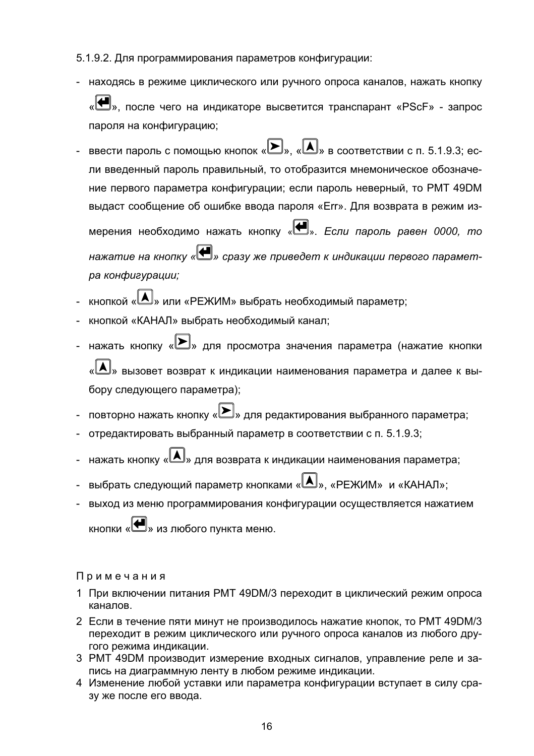## 5.1.9.2. Для программирования параметров конфигурации:

- находясь в режиме циклического или ручного опроса каналов, нажать кнопку «<sup>[4]</sup>» после чего на индикаторе высветится транспарант «PScF» - запрос пароля на конфигурацию;
- ввести пароль с помощью кнопок « $\sum$ », « $\langle A \rangle$ » в соответствии с п. 5.1.9.3; если введенный пароль правильный, то отобразится мнемоническое обозначение первого параметра конфигурации; если пароль неверный, то РМТ 49DM выдаст сообщение об ошибке ввода пароля «Err». Для возврата в режим измерения необходимо нажать кнопку « $\bigoplus_{\aleph}$ . Если пароль равен 0000. mo нажатие на кнопку « $\bigcup$ » сразу же приведет к индикации первого параметра конфигурации:
- кнопкой « $\blacksquare$ » или «РЕЖИМ» выбрать необходимый параметр;
- кнопкой «КАНАЛ» выбрать необходимый канал;
- нажать кнопку « $\blacktriangleright$ )» для просмотра значения параметра (нажатие кнопки «LA)» вызовет возврат к индикации наименования параметра и далее к выбору следующего параметра);
- повторно нажать кнопку « $\blacktriangleright$ » для редактирования выбранного параметра:
- отредактировать выбранный параметр в соответствии с п. 5.1.9.3:
- нажать кнопку « $\blacktriangle\|$ » для возврата к индикации наименования параметра;
- выбрать следующий параметр кнопками « $\Box$ », «РЕЖИМ» и «КАНАЛ»:
- выход из меню программирования конфигурации осуществляется нажатием кнопки «У» из любого пункта меню.

#### Примечания

- 1 При включении питания РМТ 49DM/3 переходит в циклический режим опроса каналов.
- 2 Если в течение пяти минут не производилось нажатие кнопок, то РМТ 49DM/3 переходит в режим циклического или ручного опроса каналов из любого другого режима индикации.
- 3 PMT 49DM производит измерение входных сигналов, управление реле и запись на диаграммную ленту в любом режиме индикации.
- 4 Изменение любой уставки или параметра конфигурации вступает в силу сразу же после его ввода.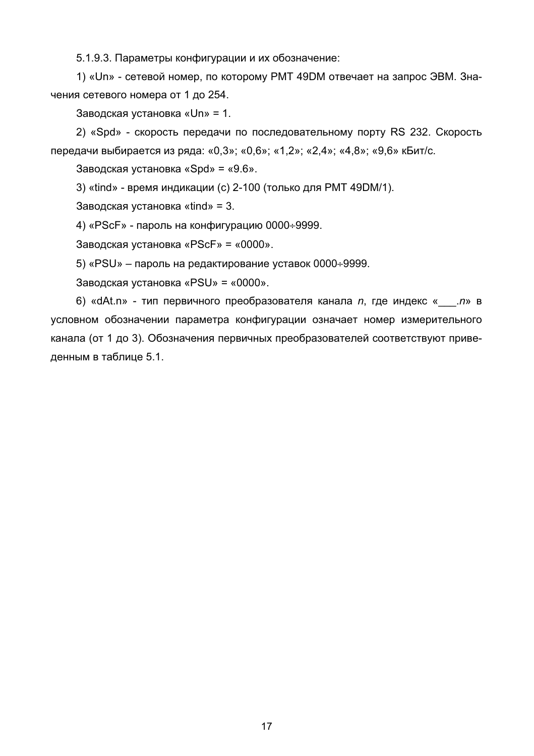5.1.9.3. Параметры конфигурации и их обозначение:

1) «Un» - сетевой номер, по которому РМТ 49DM отвечает на запрос ЭВМ. Значения сетевого номера от 1 до 254.

Заводская установка «Un» = 1.

2) «Spd» - скорость передачи по последовательному порту RS 232. Скорость передачи выбирается из ряда: «0,3»; «0,6»; «1,2»; «2,4»; «4,8»; «9,6» кБит/с.

Заводская установка «Spd» = «9.6».

3) «tind» - время индикации (с) 2-100 (только для РМТ 49DM/1).

Заводская установка «tind» = 3.

4) «PScF» - пароль на конфигурацию 0000÷9999.

Заводская установка «PScF» = «0000».

5) «PSU» - пароль на редактирование уставок 0000÷9999.

Заводская установка «PSU» = «0000».

6) «dAt.n» - тип первичного преобразователя канала *n*, где индекс « .*n*» в условном обозначении параметра конфигурации означает номер измерительного канала (от 1 до 3). Обозначения первичных преобразователей соответствуют приведенным в таблице 5.1.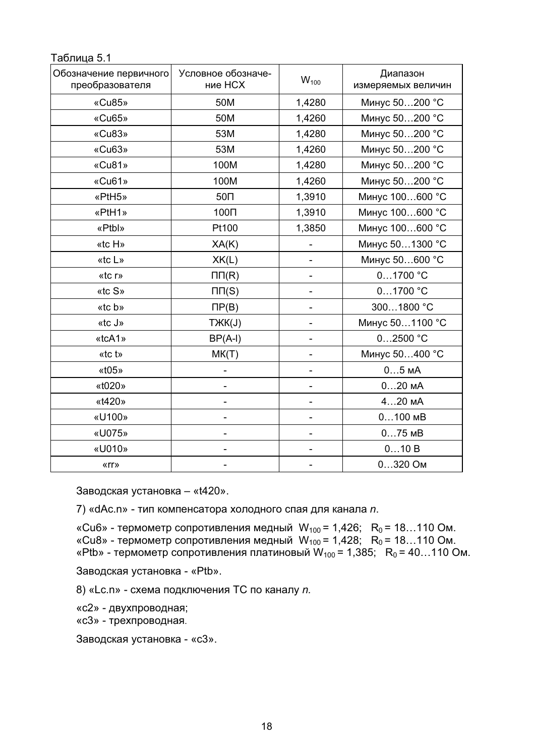Таблица 5.1

| Обозначение первичного<br>преобразователя | Условное обозначе-<br>ние НСХ | $W_{100}$                | Диапазон<br>измеряемых величин |  |
|-------------------------------------------|-------------------------------|--------------------------|--------------------------------|--|
| «Cu85»                                    | 50M                           | 1,4280                   | Минус 50200 °С                 |  |
| «Cu65»                                    | 50M                           | 1,4260                   | Минус 50200 °С                 |  |
| «Cu83»                                    | 53M                           | 1,4280                   | Минус 50200 °С                 |  |
| «Cu63»                                    | 53M                           | 1,4260                   | Минус 50200 °С                 |  |
| «Cu81»                                    | 100M                          | 1,4280                   | Минус 50200 °С                 |  |
| «Cu61»                                    | 100M                          | 1,4260                   | Минус 50200 °С                 |  |
| «PtH5»                                    | 50 <sub>II</sub>              | 1,3910                   | Минус 100600 °С                |  |
| «PtH1»                                    | 100 <sub>U</sub>              | 1,3910                   | Минус 100600 °С                |  |
| «Ptbl»                                    | Pt100                         | 1,3850                   | Минус 100600 °С                |  |
| «tc H»                                    | XA(K)                         |                          | Минус 501300 °С                |  |
| «tc L»                                    | XK(L)                         |                          | Минус 50600 °С                 |  |
| «tc r»                                    | $\Pi \Pi(R)$                  |                          | 01700 °C                       |  |
| «tc S»                                    | $\Pi(I(S))$                   |                          | 01700 °C                       |  |
| «tc b»                                    | $\Pi P(B)$                    | $\overline{a}$           | 3001800 °C                     |  |
| «tc J»                                    | TXKK(J)                       |                          | Минус 501100 °С                |  |
| «tcA1»                                    | $BP(A-I)$                     | $\overline{\phantom{0}}$ | 02500 °C                       |  |
| «tc t»                                    | MK(T)                         |                          | Минус 50400 °С                 |  |
| «t05»                                     |                               | $\overline{\phantom{0}}$ | $05$ MA                        |  |
| «t020»                                    |                               |                          | $020$ MA                       |  |
| «t420»                                    |                               |                          | $420$ MA                       |  |
| «U100»                                    |                               |                          | $0100$ MB                      |  |
| «U075»                                    |                               |                          | $075$ MB                       |  |
| «U010»                                    |                               | $\overline{a}$           | 010B                           |  |
| «rr»                                      |                               | $\overline{\phantom{0}}$ | $0320$ O <sub>M</sub>          |  |

Заводская установка - «t420».

7) «dAc.n» - тип компенсатора холодного спая для канала n.

«Си6» - термометр сопротивления медный  $W_{100}$  = 1,426; R<sub>0</sub> = 18...110 Ом. «Си8» - термометр сопротивления медный  $W_{100}$  = 1,428; R<sub>0</sub> = 18...110 Ом. «Ptb» - термометр сопротивления платиновый  $W_{100}$  = 1,385; R<sub>0</sub> = 40...110 Ом.

Заводская установка - «Ptb».

8) «Lc.n» - схема подключения ТС по каналу п.

«с2» - двухпроводная; «с3» - трехпроводная.

Заводская установка - «с3».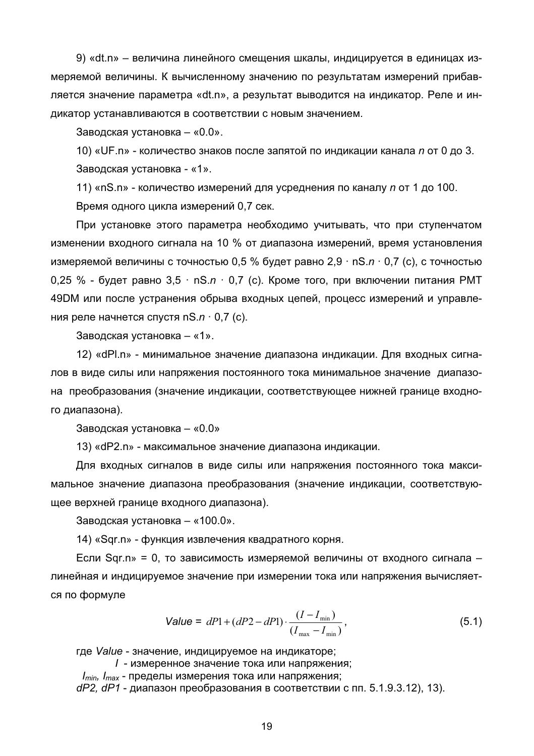9) «dt.n» - величина линейного смещения шкалы, индицируется в единицах измеряемой величины. К вычисленному значению по результатам измерений прибавляется значение параметра «dt.n», а результат выводится на индикатор. Реле и индикатор устанавливаются в соответствии с новым значением.

Заводская установка - «0.0».

10) «UF.n» - количество знаков после запятой по индикации канала *n* от 0 до 3. Заводская установка - «1».

11) «nS.n» - количество измерений для усреднения по каналу *n* от 1 до 100.

Время одного цикла измерений 0,7 сек.

При установке этого параметра необходимо учитывать, что при ступенчатом изменении входного сигнала на 10 % от диапазона измерений, время установления измеряемой величины с точностью 0.5 % будет равно 2.9  $\cdot$  nS.n  $\cdot$  0.7 (c), с точностью 0.25 % - будет равно  $3.5 \cdot$  nS. $n \cdot 0.7$  (c). Кроме того, при включении питания РМТ 49DM или после устранения обрыва входных цепей, процесс измерений и управления реле начнется спустя  $nS.n \cdot 0.7$  (c).

Заводская установка - «1».

12) «dPl.n» - минимальное значение диапазона индикации. Для входных сигналов в виде силы или напряжения постоянного тока минимальное значение диапазона преобразования (значение индикации, соответствующее нижней границе входного диапазона).

Заводская установка - «0.0»

13) «dP2.n» - максимальное значение диапазона индикации.

Для входных сигналов в виде силы или напряжения постоянного тока максимальное значение диапазона преобразования (значение индикации, соответствующее верхней границе входного диапазона).

Заводская установка - «100.0».

14) «Sqr.n» - функция извлечения квадратного корня.

Если Sqr.n» = 0, то зависимость измеряемой величины от входного сигнала линейная и индицируемое значение при измерении тока или напряжения вычисляется по формуле

Value = 
$$
dP1 + (dP2 - dP1) \cdot \frac{(I - I_{\min})}{(I_{\max} - I_{\min})}
$$
, (5.1)

где Value - значение, индицируемое на индикаторе;

/ - измеренное значение тока или напряжения;

 $I_{min}$ ,  $I_{max}$  - пределы измерения тока или напряжения;

dP2, dP1 - диапазон преобразования в соответствии с пп. 5.1.9.3.12), 13).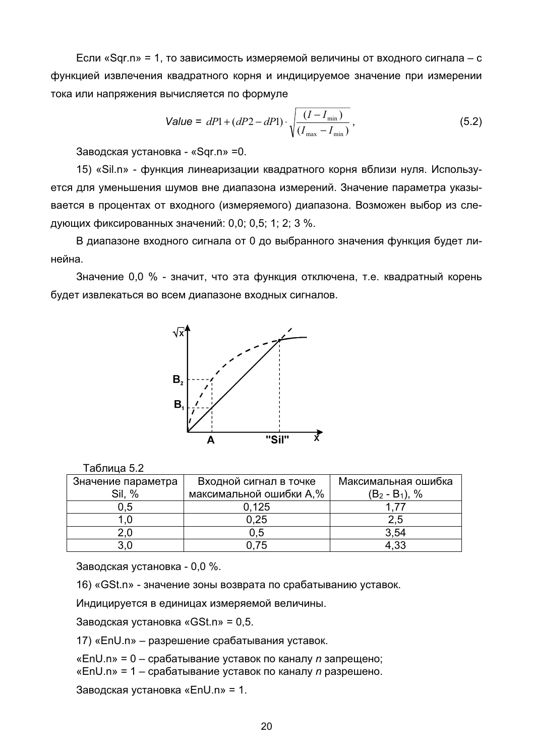Если «Sqr.n» = 1, то зависимость измеряемой величины от входного сигнала - с функцией извлечения квадратного корня и индицируемое значение при измерении тока или напряжения вычисляется по формуле

Value = 
$$
dP1 + (dP2 - dP1) \cdot \sqrt{\frac{(I - I_{\min})}{(I_{\max} - I_{\min})}}
$$
, (5.2)

Заводская установка - «Sqr.n» = 0.

15) «Sil.n» - функция линеаризации квадратного корня вблизи нуля. Используется для уменьшения шумов вне диапазона измерений. Значение параметра указывается в процентах от входного (измеряемого) диапазона. Возможен выбор из следующих фиксированных значений: 0,0; 0,5; 1; 2; 3 %.

В диапазоне входного сигнала от 0 до выбранного значения функция будет линейна.

Значение 0,0 % - значит, что эта функция отключена, т.е. квадратный корень будет извлекаться во всем диапазоне входных сигналов.



## Таблица 5.2

| Значение параметра<br>Sil, % | Входной сигнал в точке<br>максимальной ошибки А,% | Максимальная ошибка<br>$(B_2 - B_1), %$ |
|------------------------------|---------------------------------------------------|-----------------------------------------|
| 0.5                          | 0.125                                             | 177                                     |
| 1.0                          | 0.25                                              | 2,5                                     |
| 2,0                          | 0.5                                               | 3.54                                    |
| 3.C                          | 0.75                                              | 4.33                                    |

Заводская установка - 0,0 %.

16) «GSt.n» - значение зоны возврата по срабатыванию уставок.

Индицируется в единицах измеряемой величины.

Заводская установка «GSt.n» = 0,5.

17) «EnU.n» - разрешение срабатывания уставок.

«EnU.n» = 0 - срабатывание уставок по каналу *п* запрещено;

«EnU.n» = 1 - срабатывание уставок по каналу *п* разрешено.

Заводская установка «EnU.n» = 1.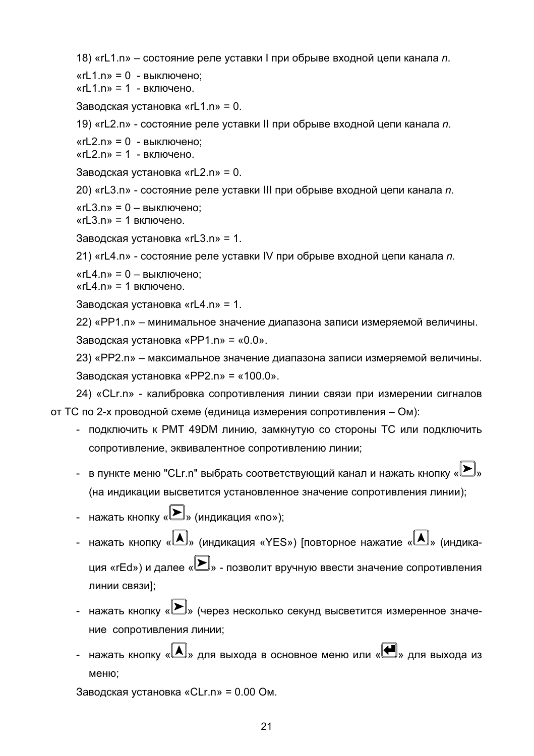```
18) «rL1.n» - состояние реле уставки I при обрыве входной цепи канала n.
```

```
«rL1.n» = 0 - выключено:
«rL1.n» = 1 - включено.
```

```
Заводская установка «rL1.n» = 0.
```
19) «rL2.n» - состояние реле уставки II при обрыве входной цепи канала n.

«rL2.n» = 0 - выключено;

«rL2.n» = 1 - включено.

Заводская установка «rL2.n» = 0.

20) «rL3.n» - состояние реле уставки III при обрыве входной цепи канала *n.* 

«rL3.n» =  $0 -$ выключено:

«rl  $3 \text{ n}$ » = 1 включено

Заводская установка «rL3.n» = 1.

21) «rL4.n» - состояние реле уставки IV при обрыве входной цепи канала *n.* 

«rL4.n» =  $0 -$  выключено: «rL4.n» = 1 включено.

Заводская установка «rL4.n» = 1.

22) «PP1.n» - минимальное значение диапазона записи измеряемой величины.

Заводская установка «PP1.n» = «0.0».

23) «PP2.n» - максимальное значение диапазона записи измеряемой величины. Заводская установка «PP2.n» = «100.0».

24) «CLr.n» - калибровка сопротивления линии связи при измерении сигналов от ТС по 2-х проводной схеме (единица измерения сопротивления - Ом):

- подключить к PMT 49DM линию, замкнутую со стороны TC или подключить сопротивление, эквивалентное сопротивлению линии;
- в пункте меню "CLr.n" выбрать соответствующий канал и нажать кнопку (на индикации высветится установленное значение сопротивления линии);
- нажать кнопку «ビ» (индикация «no»):
- нажать кнопку « $\langle A \rangle$ » (индикация «YES») [повторное нажатие « $\langle A \rangle$ » (индикашия «rEd») и далее «У» - позволит вручную ввести значение сопротивления линии связи];
- нажать кнопку « $\blacktriangleright$ » (через несколько секунд высветится измеренное значение сопротивления линии:
- нажать кнопку « $\blacktriangle$ » для выхода в основное меню или « $\blacktriangle$ » для выхода из меню:

Заводская установка «CLr.n» = 0.00 Ом.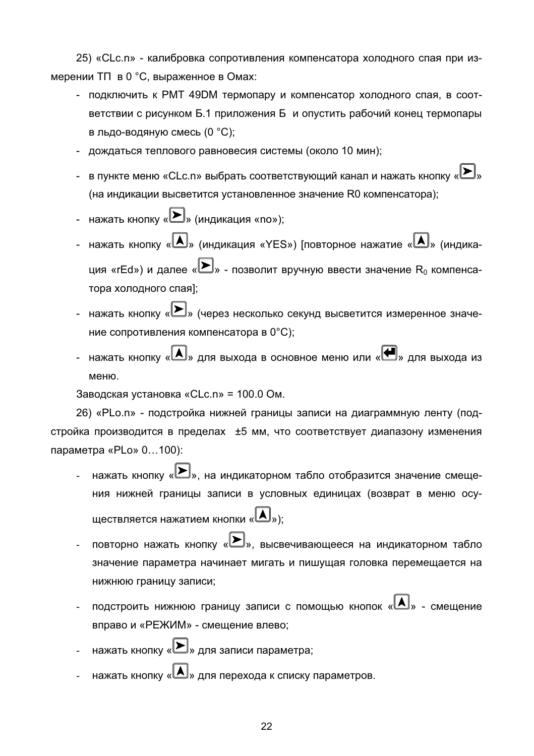25) «CLc.n» - калибровка сопротивления компенсатора холодного спая при измерении ТП в 0 °С, выраженное в Омах:

- подключить к РМТ 49DM термопару и компенсатор холодного спая, в соответствии с рисунком Б.1 приложения Б и опустить рабочий конец термопары в льдо-водяную смесь (0 °С);
- дождаться теплового равновесия системы (около 10 мин);
- в пункте меню «CLc.n» выбрать соответствующий канал и нажать кнопку « $\blacktriangleright$ » (на индикации высветится установленное значение R0 компенсатора);
- нажать кнопку « $\blacktriangleright$ » (инликация «no»):
- нажать кнопку « $\blacktriangle$ » (индикация «YES») [повторное нажатие « $\blacktriangle$ » (индика- $\mathbf{u}$ ия «rEd») и далее « $\blacktriangleright$ » - позволит вручную ввести значение  $\mathsf{R}_0$  компенсатора холодного спая];
- нажать кнопку « $\blacktriangleright$ » (через несколько секунд высветится измеренное значение сопротивления компенсатора в 0°С):
- нажать кнопку « $\blacktriangle$ » для выхода в основное меню или « $\blacktriangle$ » для выхода из меню.

Заводская установка «CLc.n» = 100.0 Ом.

26) «PLo.n» - подстройка нижней границы записи на диаграммную ленту (подстройка производится в пределах ±5 мм, что соответствует диапазону изменения параметра «PLo» 0...100):

- нажать кнопку « $\blacktriangleright$ », на индикаторном табло отобразится значение смещения нижней границы записи в условных единицах (возврат в меню осуществляется нажатием кнопки « $\blacksquare$ »):
- повторно нажать кнопку  $\langle \sum$ ». высвечивающееся на индикаторном табло значение параметра начинает мигать и пишущая головка перемещается на нижнюю границу записи;
- подстроить нижнюю границу записи с помощью кнопок « $\blacktriangle$ )» смещение вправо и «РЕЖИМ» - смещение влево;
- нажать кнопку « $\blacktriangleright$ » для записи параметра:
- нажать кнопку « $\llbracket \blacktriangle \rrbracket$ » для перехода к списку параметров.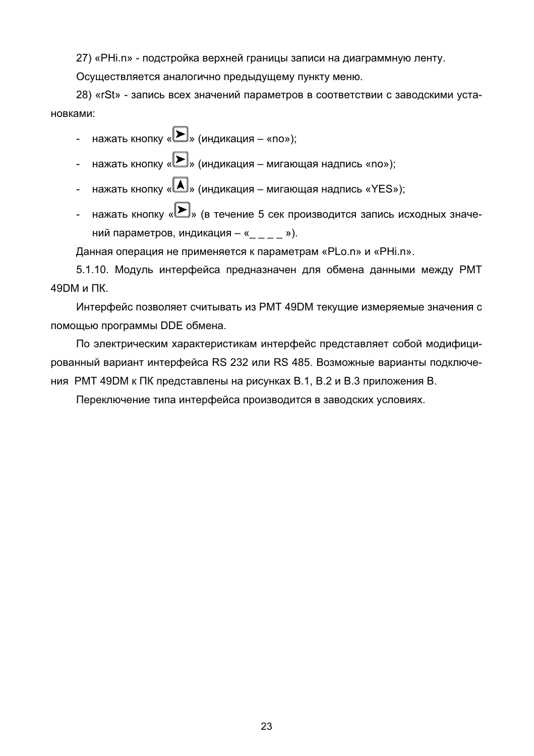27) «PHi.n» - подстройка верхней границы записи на диаграммную ленту.

Осуществляется аналогично предыдущему пункту меню.

28) «rSt» - запись всех значений параметров в соответствии с заводскими установками:

- нажать кнопку « $\blacktriangleright$ » (индикация «no»);
- нажать кнопку « $\blacktriangleright$ » (индикация мигающая надпись «no»);
- нажать кнопку « $\blacktriangle$ )» (индикация мигающая надпись «YES»); a.
- нажать кнопку « $\blacktriangleright$ » (в течение 5 сек производится запись исходных значений параметров, индикация - « »).

Данная операция не применяется к параметрам «PLo.n» и «PHi.n».

5.1.10. Модуль интерфейса предназначен для обмена данными между РМТ 49DM и ПК.

Интерфейс позволяет считывать из PMT 49DM текущие измеряемые значения с помощью программы DDE обмена.

По электрическим характеристикам интерфейс представляет собой модифицированный вариант интерфейса RS 232 или RS 485. Возможные варианты подключения PMT 49DM к ПК представлены на рисунках В.1, В.2 и В.3 приложения В.

Переключение типа интерфейса производится в заводских условиях.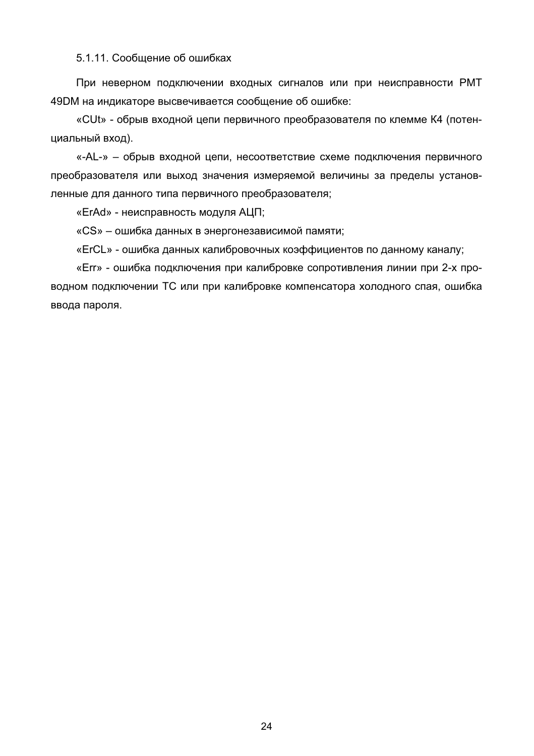5.1.11. Сообщение об ошибках

При неверном подключении входных сигналов или при неисправности РМТ 49DM на индикаторе высвечивается сообщение об ошибке:

«CUt» - обрыв входной цепи первичного преобразователя по клемме К4 (потенциальный вход).

«-AL-» - обрыв входной цепи, несоответствие схеме подключения первичного преобразователя или выход значения измеряемой величины за пределы установленные для данного типа первичного преобразователя:

«ErAd» - неисправность модуля АЦП;

«CS» - ошибка данных в энергонезависимой памяти;

«ErCL» - ошибка данных калибровочных коэффициентов по данному каналу;

«Егг» - ошибка подключения при калибровке сопротивления линии при 2-х проводном подключении ТС или при калибровке компенсатора холодного спая, ошибка ввода пароля.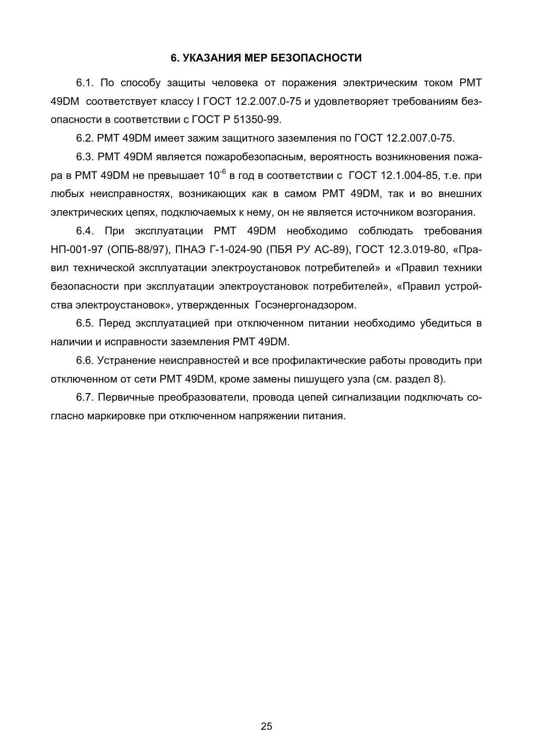#### 6. УКАЗАНИЯ МЕР БЕЗОПАСНОСТИ

6.1. По способу зашиты человека от поражения электрическим током РМТ 49DM соответствует классу I ГОСТ 12.2.007.0-75 и удовлетворяет требованиям безопасности в соответствии с ГОСТ Р 51350-99.

6.2. РМТ 49DM имеет зажим защитного заземления по ГОСТ 12.2.007.0-75.

6.3. PMT 49DM является пожаробезопасным, вероятность возникновения пожара в РМТ 49DM не превышает 10<sup>-6</sup> в год в соответствии с ГОСТ 12.1.004-85, т.е. при любых неисправностях, возникающих как в самом РМТ 49DM, так и во внешних электрических цепях, подключаемых к нему, он не является источником возгорания.

6.4. При эксплуатации РМТ 49DM необходимо соблюдать требования НП-001-97 (ОПБ-88/97), ПНАЭ Г-1-024-90 (ПБЯ РУ АС-89), ГОСТ 12.3.019-80, «Правил технической эксплуатации электроустановок потребителей» и «Правил техники безопасности при эксплуатации электроустановок потребителей», «Правил устройства электроустановок», утвержденных Госэнергонадзором.

6.5. Перед эксплуатацией при отключенном питании необходимо убедиться в наличии и исправности заземления PMT 49DM.

6.6. Устранение неисправностей и все профилактические работы проводить при отключенном от сети РМТ 49DM, кроме замены пишущего узла (см. раздел 8).

6.7. Первичные преобразователи, провода цепей сигнализации подключать согласно маркировке при отключенном напряжении питания.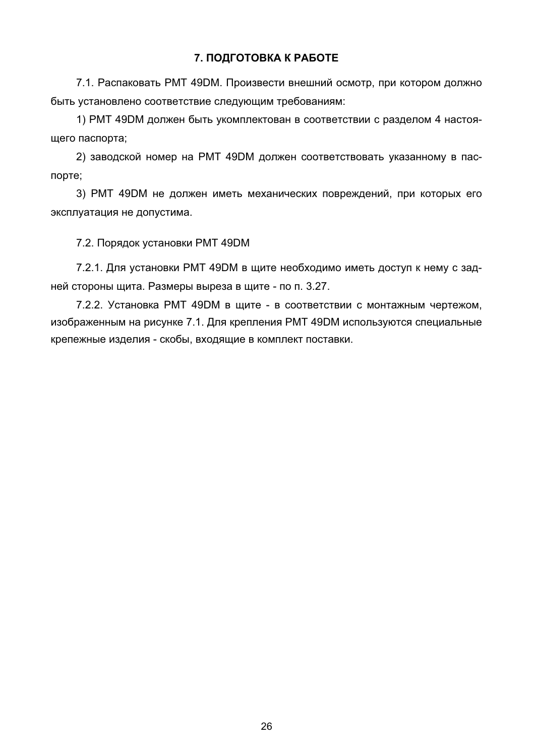## 7. ПОДГОТОВКА К РАБОТЕ

7.1. Распаковать РМТ 49DM. Произвести внешний осмотр, при котором должно быть установлено соответствие следующим требованиям:

1) РМТ 49DM должен быть укомплектован в соответствии с разделом 4 настоящего паспорта;

2) заводской номер на РМТ 49DM должен соответствовать указанному в паспорте;

3) PMT 49DM не должен иметь механических повреждений, при которых его эксплуатация не допустима.

7.2. Порядок установки РМТ 49DM

7.2.1. Для установки PMT 49DM в щите необходимо иметь доступ к нему с задней стороны щита. Размеры выреза в щите - по п. 3.27.

7.2.2. Установка РМТ 49DM в шите - в соответствии с монтажным чертежом. изображенным на рисунке 7.1. Для крепления PMT 49DM используются специальные крепежные изделия - скобы, входящие в комплект поставки.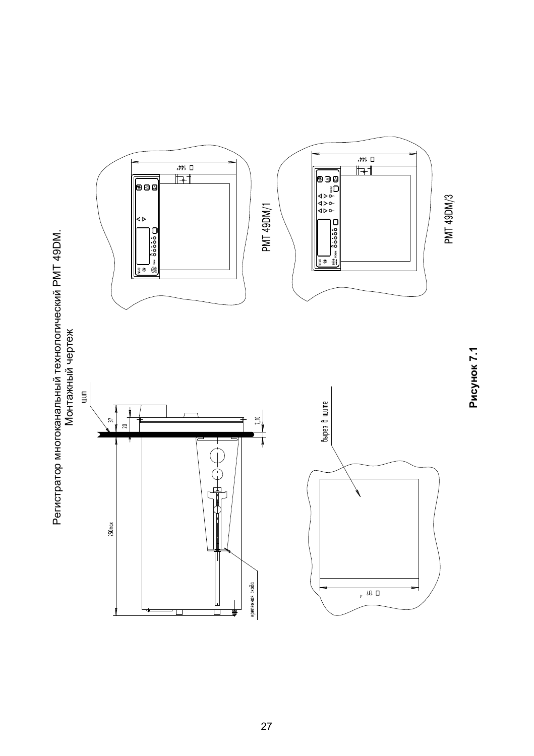$\begin{array}{c} \hline \text{ } & \text{ } \\ \text{ } & \text{ } \\ \hline \text{ } & \text{ } \\ \hline \text{ } & \text{ } \\ \hline \end{array}$ —<br>90<br>01 4Þō<br>4Þo<br>4Þo PMT 49DM/1 Регистратор многоканальный технологический РМТ 49DM.  $\bullet$ ⊕  $\overline{\bullet}$ Монтажный чертеж  $\overline{\mathbb{B}}$ bupes b wume  $7.10$ à.  $\overline{\mathbb{R}}$  $250$ max крепежная скоба  $\frac{1}{\sqrt{1+\frac{1}{2}}}\left( \frac{1}{\sqrt{1+\frac{1}{2}}}\right) ^{\frac{1}{2}}\left( \frac{1}{\sqrt{1+\frac{1}{2}}}\right) ^{\frac{1}{2}}\left( \frac{1}{\sqrt{1+\frac{1}{2}}}\right) ^{\frac{1}{2}}\left( \frac{1}{\sqrt{1+\frac{1}{2}}}\right) ^{\frac{1}{2}}\left( \frac{1}{\sqrt{1+\frac{1}{2}}}\right) ^{\frac{1}{2}}\left( \frac{1}{\sqrt{1+\frac{1}{2}}}\right) ^{\frac{1}{2}}\left( \frac{1}{\sqrt{1+\frac{1}{2}}}\right) ^{\$ 



PMT 49DM/3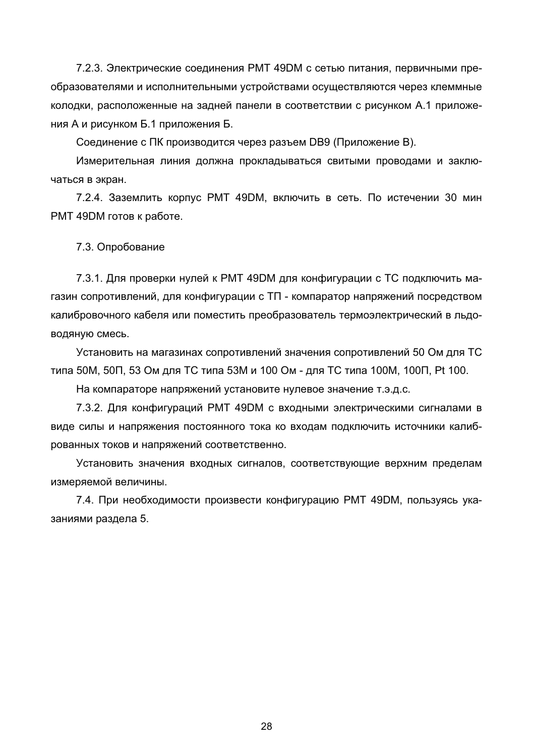7.2.3. Электрические соединения РМТ 49DM с сетью питания, первичными преобразователями и исполнительными устройствами осуществляются через клеммные колодки, расположенные на задней панели в соответствии с рисунком А.1 приложения А и рисунком Б.1 приложения Б.

Соединение с ПК производится через разъем DB9 (Приложение В).

Измерительная линия должна прокладываться свитыми проводами и заключаться в экран.

7.2.4. Заземлить корпус РМТ 49DM, включить в сеть. По истечении 30 мин РМТ 49DM готов к работе.

7.3. Опробование

7.3.1. Для проверки нулей к РМТ 49DM для конфигурации с ТС подключить магазин сопротивлений, для конфигурации с ТП - компаратор напряжений посредством калибровочного кабеля или поместить преобразователь термоэлектрический в льдоводяную смесь.

Установить на магазинах сопротивлений значения сопротивлений 50 Ом для ТС типа 50М, 50П, 53 Ом для ТС типа 53М и 100 Ом - для ТС типа 100М, 100П, Pt 100.

На компараторе напряжений установите нулевое значение т.э.д.с.

7.3.2. Для конфигураций РМТ 49DM с входными электрическими сигналами в виде силы и напряжения постоянного тока ко входам подключить источники калиброванных токов и напряжений соответственно.

Установить значения входных сигналов, соответствующие верхним пределам измеряемой величины.

7.4. При необходимости произвести конфигурацию РМТ 49DM, пользуясь указаниями раздела 5.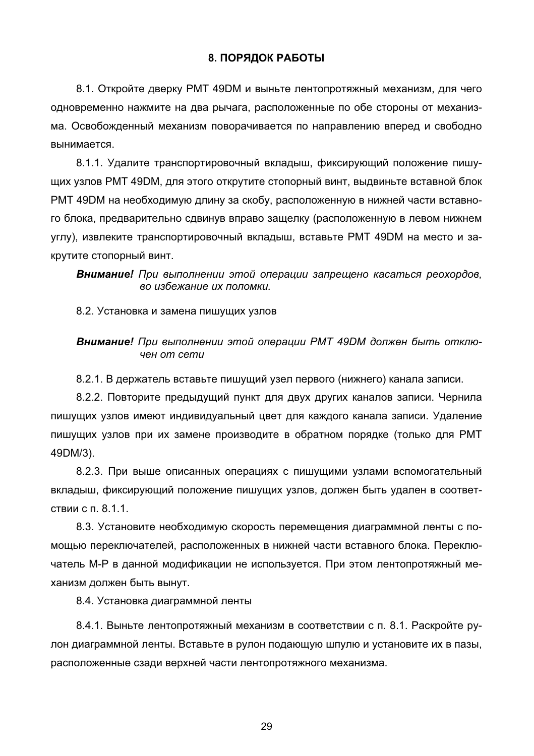#### 8. ПОРЯДОК РАБОТЫ

8.1. Откройте дверку РМТ 49DM и выньте лентопротяжный механизм, для чего одновременно нажмите на два рычага, расположенные по обе стороны от механизма. Освобожденный механизм поворачивается по направлению вперед и свободно вынимается.

8.1.1. Удалите транспортировочный вкладыш, фиксирующий положение пишущих узлов РМТ 49DM, для этого открутите стопорный винт, выдвиньте вставной блок РМТ 49DM на необходимую длину за скобу, расположенную в нижней части вставного блока, предварительно сдвинув вправо защелку (расположенную в левом нижнем углу), извлеките транспортировочный вкладыш, вставьте РМТ 49DM на место и закрутите стопорный винт.

Внимание! При выполнении этой операции запрещено касаться реохордов, во избежание их поломки.

8.2. Установка и замена пишущих узлов

#### Внимание! При выполнении этой операции РМТ 49DM должен быть отключен om cemu

8.2.1. В держатель вставьте пишущий узел первого (нижнего) канала записи.

8.2.2. Повторите предыдущий пункт для двух других каналов записи. Чернила пишуших узлов имеют индивидуальный цвет для каждого канала записи. Удаление пишущих узлов при их замене производите в обратном порядке (только для РМТ 49DM/3).

8.2.3. При выше описанных операциях с пишущими узлами вспомогательный вкладыш, фиксирующий положение пишущих узлов, должен быть удален в соответствии с.п. 8.1.1.

8.3. Установите необходимую скорость перемещения диаграммной ленты с помошью переключателей, расположенных в нижней части вставного блока. Переключатель М-Р в данной модификации не используется. При этом лентопротяжный механизм должен быть вынут.

8.4. Установка диаграммной ленты

8.4.1. Выньте лентопротяжный механизм в соответствии с п. 8.1. Раскройте рулон диаграммной ленты. Вставьте в рулон подающую шпулю и установите их в пазы, расположенные сзади верхней части лентопротяжного механизма.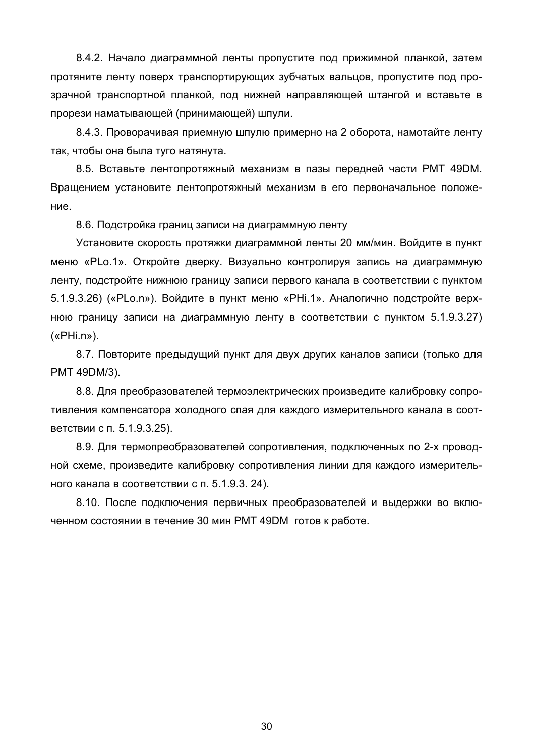8.4.2. Начало диаграммной ленты пропустите под прижимной планкой, затем протяните ленту поверх транспортирующих зубчатых вальцов, пропустите под прозрачной транспортной планкой, под нижней направляющей штангой и вставьте в прорези наматывающей (принимающей) шпули.

8.4.3. Проворачивая приемную шпулю примерно на 2 оборота, намотайте ленту так, чтобы она была туго натянута.

8.5. Вставьте пентопротяжный механизм в пазы перелней части РМТ 49DM. Вращением установите лентопротяжный механизм в его первоначальное положение.

8.6. Подстройка границ записи на диаграммную ленту

Установите скорость протяжки диаграммной ленты 20 мм/мин. Войдите в пункт меню «PLo.1». Откройте дверку. Визуально контролируя запись на диаграммную ленту, подстройте нижнюю границу записи первого канала в соответствии с пунктом 5.1.9.3.26) («PLo.n»). Войдите в пункт меню «PHi.1». Аналогично подстройте верхнюю границу записи на диаграммную ленту в соответствии с пунктом 5.1.9.3.27)  $(\kappa$ PHi.n»).

8.7. Повторите предыдущий пункт для двух других каналов записи (только для PMT 49DM/3).

8.8. Для преобразователей термоэлектрических произведите калибровку сопротивления компенсатора холодного спая для каждого измерительного канала в соответствии с п. 5.1.9.3.25).

8.9. Для термопреобразователей сопротивления, подключенных по 2-х проводной схеме. произведите калибровку сопротивления линии для каждого измерительного канала в соответствии с п. 5.1.9.3. 24).

8.10. После подключения первичных преобразователей и выдержки во включенном состоянии в течение 30 мин РМТ 49DM готов к работе.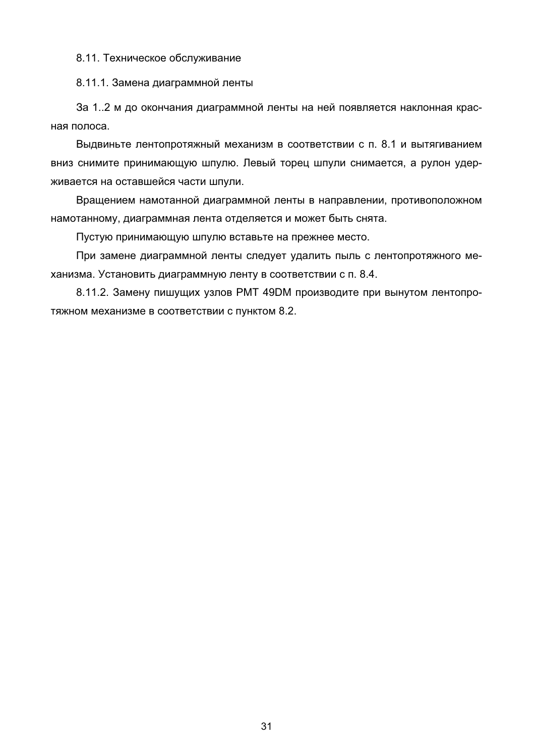8.11. Техническое обслуживание

8.11.1. Замена диаграммной ленты

За 1..2 м до окончания диаграммной ленты на ней появляется наклонная красная полоса.

Выдвиньте лентопротяжный механизм в соответствии с п. 8.1 и вытягиванием вниз снимите принимающую шпулю. Левый торец шпули снимается, а рулон удерживается на оставшейся части шпули.

Вращением намотанной диаграммной ленты в направлении, противоположном намотанному, диаграммная лента отделяется и может быть снята.

Пустую принимающую шпулю вставьте на прежнее место.

При замене диаграммной ленты следует удалить пыль с лентопротяжного механизма. Установить диаграммную ленту в соответствии с п. 8.4.

8.11.2. Замену пишущих узлов РМТ 49DM производите при вынутом лентопротяжном механизме в соответствии с пунктом 8.2.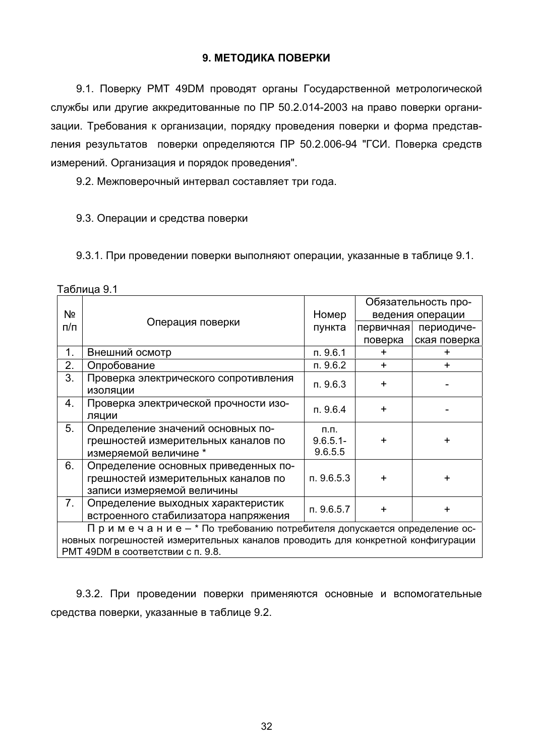#### 9. МЕТОДИКА ПОВЕРКИ

9.1. Поверку РМТ 49DM проводят органы Государственной метрологической службы или другие аккредитованные по ПР 50.2.014-2003 на право поверки организации. Требования к организации, порядку проведения поверки и форма представления результатов поверки определяются ПР 50.2.006-94 "ГСИ. Поверка средств измерений. Организация и порядок проведения".

9.2. Межповерочный интервал составляет три года.

9.3. Операции и средства поверки

9.3.1. При проведении поверки выполняют операции, указанные в таблице 9.1.

| Таблица 9.1 |  |  |  |
|-------------|--|--|--|
|             |  |  |  |

| Nº. |                                                                                                                                                                                              | Номер       | Обязательность про-<br>ведения операции |              |  |  |
|-----|----------------------------------------------------------------------------------------------------------------------------------------------------------------------------------------------|-------------|-----------------------------------------|--------------|--|--|
| п/п | Операция поверки                                                                                                                                                                             | пункта      | первичная                               | периодиче-   |  |  |
|     |                                                                                                                                                                                              |             | поверка                                 | ская поверка |  |  |
| 1.  | Внешний осмотр                                                                                                                                                                               | n.9.6.1     | +                                       | ÷            |  |  |
| 2.  | Опробование                                                                                                                                                                                  | n. 9.6.2    | $\ddot{}$                               | $\ddot{}$    |  |  |
| 3.  | Проверка электрического сопротивления<br>изоляции                                                                                                                                            | n.9.6.3     | $\ddot{}$                               |              |  |  |
| 4.  | Проверка электрической прочности изо-<br>ляции                                                                                                                                               | n.9.6.4     | $\ddot{}$                               |              |  |  |
| 5.  | Определение значений основных по-                                                                                                                                                            | п.п.        |                                         |              |  |  |
|     | грешностей измерительных каналов по                                                                                                                                                          | $9.6.5.1 -$ |                                         | $\div$       |  |  |
|     | измеряемой величине *                                                                                                                                                                        | 9.6.5.5     |                                         |              |  |  |
| 6.  | Определение основных приведенных по-<br>грешностей измерительных каналов по<br>записи измеряемой величины                                                                                    | n.9.6.5.3   | +                                       | +            |  |  |
| 7.  | Определение выходных характеристик<br>встроенного стабилизатора напряжения                                                                                                                   | n. 9.6.5.7  | $\ddot{}$                               | $\ddot{}$    |  |  |
|     | Примечание - * По требованию потребителя допускается определение ос-<br>новных погрешностей измерительных каналов проводить для конкретной конфигурации<br>РМТ 49DM в соответствии с п. 9.8. |             |                                         |              |  |  |

9.3.2. При проведении поверки применяются основные и вспомогательные средства поверки, указанные в таблице 9.2.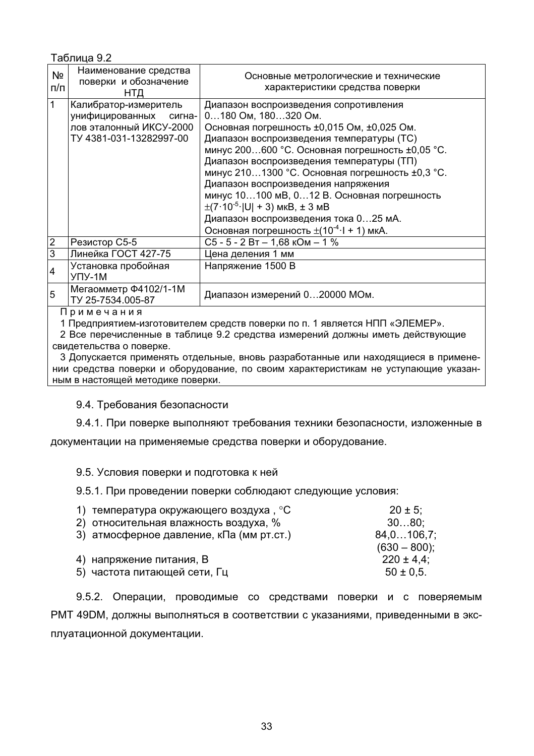Таблица 9.2

| Nº.<br>п/п | Наименование средства<br>поверки и обозначение<br>НТД                                                 | Основные метрологические и технические<br>характеристики средства поверки                                                                                                                                                                                                                                                                                                                                                                                                                                                                                  |
|------------|-------------------------------------------------------------------------------------------------------|------------------------------------------------------------------------------------------------------------------------------------------------------------------------------------------------------------------------------------------------------------------------------------------------------------------------------------------------------------------------------------------------------------------------------------------------------------------------------------------------------------------------------------------------------------|
|            | Калибратор-измеритель<br>унифицированных сигна-<br>лов эталонный ИКСУ-2000<br>TY 4381-031-13282997-00 | Диапазон воспроизведения сопротивления<br>0180 Ом. 180320 Ом.<br>Основная погрешность ±0,015 Ом, ±0,025 Ом.<br>Диапазон воспроизведения температуры (ТС)<br>минус 200600 °С. Основная погрешность ±0,05 °С.<br>Диапазон воспроизведения температуры (ТП)<br>минус 2101300 °С. Основная погрешность ±0,3 °С.<br>Диапазон воспроизведения напряжения<br>минус 10100 мВ, 012 В. Основная погрешность<br>$\pm$ (7·10 <sup>-5</sup> · U  + 3) MKB, $\pm$ 3 MB<br>Диапазон воспроизведения тока 025 мА.<br>Основная погрешность $\pm (10^{-4} \cdot 1 + 1)$ мкА. |
| 2          | Резистор С5-5                                                                                         | С5 - 5 - 2 Вт - 1,68 кОм - 1 %                                                                                                                                                                                                                                                                                                                                                                                                                                                                                                                             |
| 3          | Линейка ГОСТ 427-75                                                                                   | Цена деления 1 мм                                                                                                                                                                                                                                                                                                                                                                                                                                                                                                                                          |
| 4          | Установка пробойная<br>$YIIY-1M$                                                                      | Напряжение 1500 В                                                                                                                                                                                                                                                                                                                                                                                                                                                                                                                                          |
| 5          | Мегаомметр Ф4102/1-1М<br>TY 25-7534.005-87                                                            | Диапазон измерений 020000 МОм.                                                                                                                                                                                                                                                                                                                                                                                                                                                                                                                             |

Примечания

1 Предприятием-изготовителем средств поверки по п. 1 является НПП «ЭЛЕМЕР».

2 Все перечисленные в таблице 9.2 средства измерений должны иметь действующие свидетельства о поверке.

3 Допускается применять отдельные, вновь разработанные или находящиеся в применении средства поверки и оборудование, по своим характеристикам не уступающие указанным в настоящей методике поверки.

#### 9.4. Требования безопасности

9.4.1. При поверке выполняют требования техники безопасности, изложенные в

документации на применяемые средства поверки и оборудование.

#### 9.5. Условия поверки и подготовка к ней

9.5.1. При проведении поверки соблюдают следующие условия:

| 1) температура окружающего воздуха, °С   | $20 \pm 5$ :    |
|------------------------------------------|-----------------|
| 2) относительная влажность воздуха, %    | $3080$ :        |
| 3) атмосферное давление, кПа (мм рт.ст.) | $84.0106.7$ :   |
|                                          | $(630 - 800)$ : |
| 4) напряжение питания, В                 | $220 \pm 4.4$ : |
| 5) частота питающей сети, Гц             | $50 \pm 0.5$ .  |
|                                          |                 |

9.5.2. Операции, проводимые со средствами поверки и с поверяемым РМТ 49DM, должны выполняться в соответствии с указаниями, приведенными в эксплуатационной документации.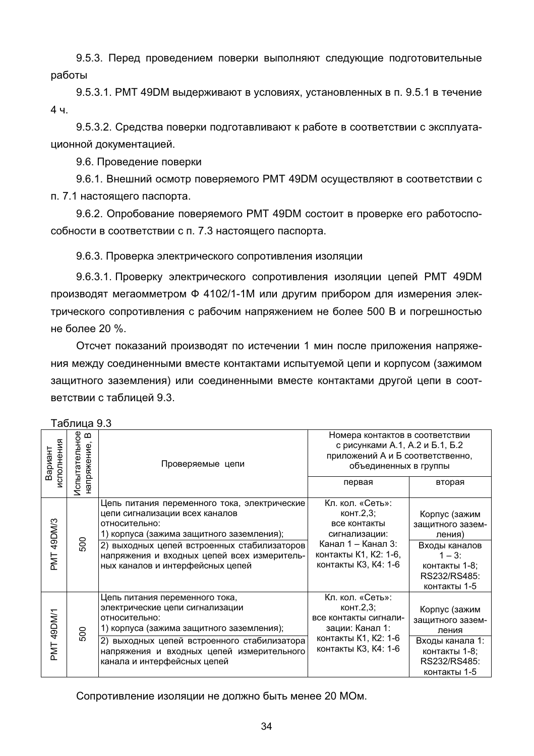9.5.3. Перед проведением поверки выполняют следующие подготовительные работы

9.5.3.1. PMT 49DM выдерживают в условиях, установленных в п. 9.5.1 в течение  $4 - 4$ 

9.5.3.2. Средства поверки подготавливают к работе в соответствии с эксплуатационной документацией.

9.6. Проведение поверки

9.6.1. Внешний осмотр поверяемого РМТ 49DM осуществляют в соответствии с п. 7.1 настоящего паспорта.

9.6.2. Опробование поверяемого РМТ 49DM состоит в проверке его работоспособности в соответствии с п. 7.3 настоящего паспорта.

9.6.3. Проверка электрического сопротивления изоляции

9.6.3.1. Проверку электрического сопротивления изоляции цепей РМТ 49DM производят мегаомметром Ф 4102/1-1М или другим прибором для измерения электрического сопротивления с рабочим напряжением не более 500 В и погрешностью не более 20 %.

Отсчет показаний производят по истечении 1 мин после приложения напряжения между соединенными вместе контактами испытуемой цепи и корпусом (зажимом защитного заземления) или соединенными вместе контактами другой цепи в соответствии с таблицей 9.3.

|                       | יט.ט <b>ווענ</b> טא |                                          |                                                                                                                                                                                                                                                                                |                                                                                                                                       |                                                                                                                           |  |  |
|-----------------------|---------------------|------------------------------------------|--------------------------------------------------------------------------------------------------------------------------------------------------------------------------------------------------------------------------------------------------------------------------------|---------------------------------------------------------------------------------------------------------------------------------------|---------------------------------------------------------------------------------------------------------------------------|--|--|
| лсполнения<br>Вариант |                     | Лспытательное<br>$\bf{m}$<br>напряжение, | Проверяемые цепи                                                                                                                                                                                                                                                               | Номера контактов в соответствии<br>с рисунками А.1, А.2 и Б.1, Б.2<br>приложений А и Б соответственно,<br>объединенных в группы       |                                                                                                                           |  |  |
|                       |                     |                                          |                                                                                                                                                                                                                                                                                | первая                                                                                                                                | вторая                                                                                                                    |  |  |
|                       | 49DM/3<br>EME       | 500                                      | Цепь питания переменного тока, электрические<br>цепи сигнализации всех каналов<br>относительно:<br>1) корпуса (зажима защитного заземления);<br>2) выходных цепей встроенных стабилизаторов<br>напряжения и входных цепей всех измеритель-<br>ных каналов и интерфейсных цепей | Кл. кол. «Сеть»:<br>конт.2,3;<br>все контакты<br>сигнализации:<br>Канал 1 - Канал 3:<br>контакты К1, К2: 1-6,<br>контакты КЗ, К4: 1-6 | Корпус (зажим<br>защитного зазем-<br>ления)<br>Входы каналов<br>$1 - 3:$<br>контакты 1-8;<br>RS232/RS485:<br>контакты 1-5 |  |  |
|                       | 49DM/1<br>TML       | 500                                      | Цепь питания переменного тока,<br>электрические цепи сигнализации<br>относительно:<br>1) корпуса (зажима защитного заземления);<br>2) выходных цепей встроенного стабилизатора<br>напряжения и входных цепей измерительного<br>канала и интерфейсных цепей                     | Кл. кол. «Сеть»:<br>конт.2,3;<br>все контакты сигнали-<br>зации: Канал 1:<br>контакты К1, К2: 1-6<br>контакты К3, К4: 1-6             | Корпус (зажим<br>защитного зазем-<br>ления<br>Входы канала 1:<br>контакты 1-8;<br>RS232/RS485:<br>контакты 1-5            |  |  |

 $ToF<sub>PHH1</sub>  $\Omega$   $2$$ 

Сопротивление изоляции не должно быть менее 20 МОм.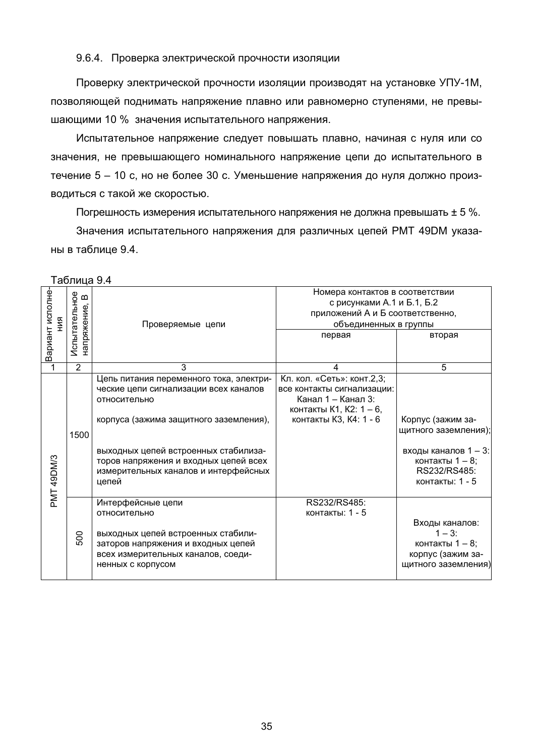#### 9.6.4. Проверка электрической прочности изоляции

Проверку электрической прочности изоляции производят на установке УПУ-1М, позволяющей поднимать напряжение плавно или равномерно ступенями, не превышающими 10 % значения испытательного напряжения.

Испытательное напряжение следует повышать плавно, начиная с нуля или со значения, не превышающего номинального напряжение цепи до испытательного в течение 5 - 10 с, но не более 30 с. Уменьшение напряжения до нуля должно производиться с такой же скоростью.

Погрешность измерения испытательного напряжения не должна превышать ± 5 %. Значения испытательного напряжения для различных цепей РМТ 49DM указаны в таблице 9.4.

|                  |            |                             |                                         | Номера контактов в соответствии  |                      |  |  |
|------------------|------------|-----------------------------|-----------------------------------------|----------------------------------|----------------------|--|--|
| Вариант исполне- |            | $\bf{m}$                    |                                         | с рисунками А.1 и Б.1, Б.2       |                      |  |  |
|                  |            |                             |                                         | приложений А и Б соответственно, |                      |  |  |
|                  | 쯫          | Испытательное<br>напряжение | Проверяемые цепи                        | объединенных в группы            |                      |  |  |
|                  |            |                             |                                         | первая                           | вторая               |  |  |
|                  |            |                             |                                         |                                  |                      |  |  |
|                  |            |                             |                                         |                                  |                      |  |  |
|                  | 1          | $\overline{2}$              | 3                                       | 4                                | 5                    |  |  |
|                  |            |                             | Цепь питания переменного тока, электри- | Кл. кол. «Сеть»: конт.2,3;       |                      |  |  |
|                  |            |                             | ческие цепи сигнализации всех каналов   | все контакты сигнализации:       |                      |  |  |
|                  |            |                             | относительно                            | Канал 1 - Канал 3:               |                      |  |  |
|                  |            |                             |                                         | контакты К1, К2: 1 – 6,          |                      |  |  |
|                  |            | 1500                        | корпуса (зажима защитного заземления),  | контакты КЗ, К4: 1 - 6           | Корпус (зажим за-    |  |  |
|                  |            |                             |                                         |                                  | щитного заземления); |  |  |
|                  |            |                             |                                         |                                  |                      |  |  |
|                  |            |                             | выходных цепей встроенных стабилиза-    |                                  | входы каналов 1 - 3: |  |  |
|                  |            |                             | торов напряжения и входных цепей всех   |                                  | контакты 1 - 8;      |  |  |
|                  |            |                             | измерительных каналов и интерфейсных    |                                  | RS232/RS485:         |  |  |
|                  |            |                             | цепей                                   |                                  | контакты: 1 - 5      |  |  |
|                  | PMT 49DM/3 |                             |                                         |                                  |                      |  |  |
|                  |            |                             | Интерфейсные цепи                       | RS232/RS485:                     |                      |  |  |
|                  |            |                             | относительно                            | контакты: 1 - 5                  |                      |  |  |
|                  |            |                             |                                         |                                  | Входы каналов:       |  |  |
|                  |            | 500                         | выходных цепей встроенных стабили-      |                                  | $1 - 3$ :            |  |  |
|                  |            |                             | заторов напряжения и входных цепей      |                                  | контакты 1 - 8;      |  |  |
|                  |            |                             | всех измерительных каналов, соеди-      |                                  | корпус (зажим за-    |  |  |
|                  |            |                             | ненных с корпусом                       |                                  | щитного заземления)  |  |  |
|                  |            |                             |                                         |                                  |                      |  |  |

Таблица 9.4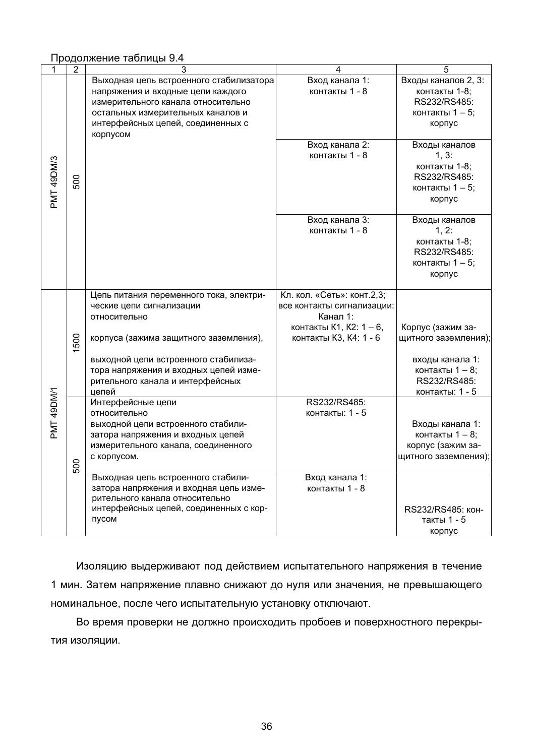## Продолжение таблицы 9.4

| 1          | $\overline{2}$ | 3                                                                        | 4                          | 5                                    |
|------------|----------------|--------------------------------------------------------------------------|----------------------------|--------------------------------------|
|            |                | Выходная цепь встроенного стабилизатора                                  | Вход канала 1:             | Входы каналов 2, 3:                  |
|            |                | напряжения и входные цепи каждого                                        | контакты 1 - 8             | контакты 1-8;                        |
|            |                | измерительного канала относительно                                       |                            | RS232/RS485:                         |
|            |                | остальных измерительных каналов и                                        |                            | контакты 1 - 5;                      |
|            |                | интерфейсных цепей, соединенных с                                        |                            | корпус                               |
|            |                | корпусом                                                                 |                            |                                      |
|            |                |                                                                          | Вход канала 2:             | Входы каналов                        |
|            |                |                                                                          | контакты 1 - 8             | 1, 3:                                |
|            |                |                                                                          |                            | контакты 1-8;                        |
|            | 500            |                                                                          |                            | RS232/RS485:                         |
| PMT 49DM/3 |                |                                                                          |                            | контакты 1 - 5;                      |
|            |                |                                                                          |                            | корпус                               |
|            |                |                                                                          | Вход канала 3:             | Входы каналов                        |
|            |                |                                                                          | контакты 1 - 8             | 1, 2:                                |
|            |                |                                                                          |                            | контакты 1-8;                        |
|            |                |                                                                          |                            | RS232/RS485:                         |
|            |                |                                                                          |                            | контакты 1 - 5;                      |
|            |                |                                                                          |                            | корпус                               |
|            |                | Цепь питания переменного тока, электри-                                  | Кл. кол. «Сеть»: конт.2,3; |                                      |
|            |                | ческие цепи сигнализации                                                 | все контакты сигнализации: |                                      |
|            |                | относительно                                                             | Канал 1:                   |                                      |
|            |                |                                                                          | контакты К1, К2: 1 - 6,    | Корпус (зажим за-                    |
|            |                | корпуса (зажима защитного заземления),                                   | контакты КЗ, К4: 1 - 6     | щитного заземления);                 |
|            | 1500           |                                                                          |                            |                                      |
|            |                | выходной цепи встроенного стабилиза-                                     |                            | входы канала 1:                      |
|            |                | тора напряжения и входных цепей изме-                                    |                            | контакты 1 - 8;                      |
|            |                | рительного канала и интерфейсных                                         |                            | RS232/RS485:                         |
| NN149DM/1  |                | цепей                                                                    |                            | контакты: 1 - 5                      |
|            |                | Интерфейсные цепи                                                        | RS232/RS485:               |                                      |
|            |                | относительно                                                             | контакты: 1 - 5            |                                      |
|            |                | выходной цепи встроенного стабили-                                       |                            | Входы канала 1:                      |
|            |                | затора напряжения и входных цепей<br>измерительного канала, соединенного |                            | контакты 1 - 8;<br>корпус (зажим за- |
|            |                | с корпусом.                                                              |                            | щитного заземления);                 |
|            | 500            |                                                                          |                            |                                      |
|            |                | Выходная цепь встроенного стабили-                                       | Вход канала 1:             |                                      |
|            |                | затора напряжения и входная цепь изме-                                   | контакты 1 - 8             |                                      |
|            |                | рительного канала относительно                                           |                            |                                      |
|            |                | интерфейсных цепей, соединенных с кор-                                   |                            | RS232/RS485: KOH-                    |
|            |                | пусом                                                                    |                            | такты 1 - 5                          |
|            |                |                                                                          |                            | корпус                               |

Изоляцию выдерживают под действием испытательного напряжения в течение 1 мин. Затем напряжение плавно снижают до нуля или значения, не превышающего номинальное, после чего испытательную установку отключают.

Во время проверки не должно происходить пробоев и поверхностного перекрытия изоляции.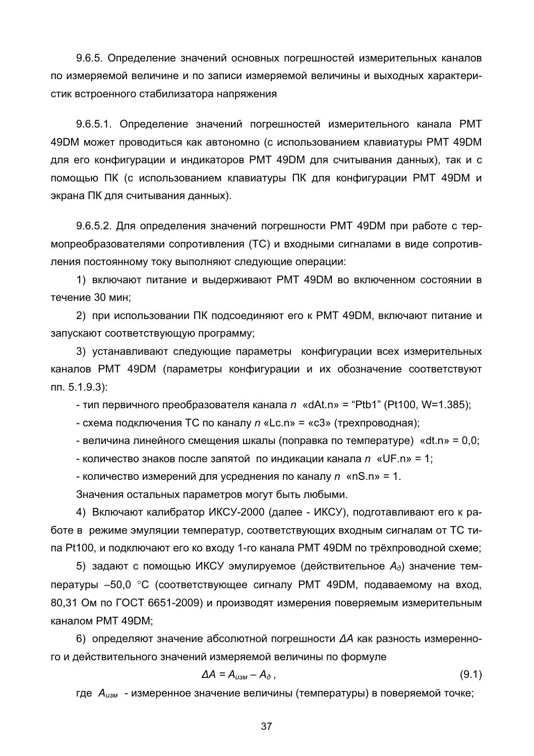9.6.5. Определение значений основных погрешностей измерительных каналов по измеряемой величине и по записи измеряемой величины и выходных характеристик встроенного стабилизатора напряжения

9.6.5.1. Определение значений погрешностей измерительного канала РМТ 49DM может проводиться как автономно (с использованием клавиатуры PMT 49DM для его конфигурации и индикаторов РМТ 49DM для считывания данных), так и с помошью ПК (с использованием клавиатуры ПК для конфигурации РМТ 49DM и экрана ПК для считывания данных).

9.6.5.2. Для определения значений погрешности РМТ 49DM при работе с термопреобразователями сопротивления (ТС) и входными сигналами в виде сопротивления постоянному току выполняют следующие операции:

1) включают питание и выдерживают РМТ 49DM во включенном состоянии в течение 30 мин:

2) при использовании ПК подсоединяют его к РМТ 49DM, включают питание и запускают соответствующую программу;

3) устанавливают следующие параметры конфигурации всех измерительных каналов PMT 49DM (параметры конфигурации и их обозначение соответствуют  $n_{\Pi}$ . 5.1.9.3):

- тип первичного преобразователя канала  $n \times dAt.n \times r$  = "Ptb1" (Pt100, W=1.385);

- схема подключения ТС по каналу  $n$  «Lc.n» = «с3» (трехпроводная);

- величина линейного смешения шкалы (поправка по температуре) «dt.n» = 0.0;

- количество знаков после запятой по индикации канала  $n \times UF.n \times 1$ ;

- количество измерений для усреднения по каналу  $n \propto nS \cdot n$  = 1.

Значения остальных параметров могут быть любыми.

4) Включают калибратор ИКСУ-2000 (далее - ИКСУ), подготавливают его к работе в режиме эмуляции температур, соответствующих входным сигналам от ТС типа Pt100, и подключают его ко входу 1-го канала PMT 49DM по трёхпроводной схеме;

5) задают с помощью ИКСУ эмулируемое (действительное  $A_{\alpha}$ ) значение температуры -50,0 °С (соответствующее сигналу РМТ 49DM, подаваемому на вход, 80.31 Ом по ГОСТ 6651-2009) и производят измерения поверяемым измерительным каналом PMT 49DM;

6) определяют значение абсолютной погрешности ДА как разность измеренного и действительного значений измеряемой величины по формуле

$$
\Delta A = A_{u3M} - A_{\partial} \tag{9.1}
$$

где  $A_{u3M}$  - измеренное значение величины (температуры) в поверяемой точке;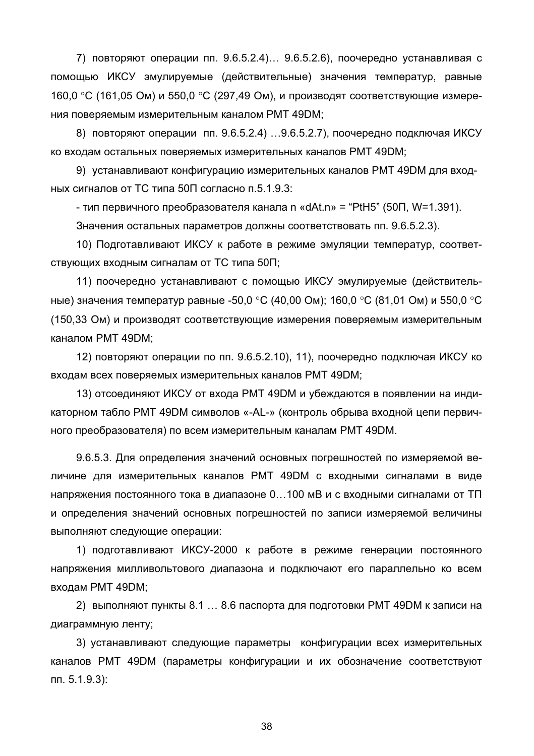7) повторяют операции пп. 9.6.5.2.4)... 9.6.5.2.6), поочередно устанавливая с помощью ИКСУ эмулируемые (действительные) значения температур, равные 160.0 °С (161.05 Ом) и 550.0 °С (297.49 Ом), и производят соответствующие измерения поверяемым измерительным каналом PMT 49DM:

8) повторяют операции пп. 9.6.5.2.4) ...9.6.5.2.7). поочередно подключая ИКСУ ко входам остальных поверяемых измерительных каналов PMT 49DM;

9) устанавливают конфигурацию измерительных каналов РМТ 49DM для входных сигналов от ТС типа 50П согласно п.5.1.9.3:

- тип первичного преобразователя канала n «dAt.n» = "PtH5" (50П, W=1.391).

Значения остальных параметров должны соответствовать пп. 9.6.5.2.3).

10) Подготавливают ИКСУ к работе в режиме эмуляции температур, соответствующих входным сигналам от ТС типа 50П;

11) поочередно устанавливают с помощью ИКСУ эмулируемые (действительные) значения температур равные -50,0 °С (40,00 Ом); 160,0 °С (81,01 Ом) и 550,0 °С (150.33 Ом) и производят соответствующие измерения поверяемым измерительным каналом PMT 49DM:

12) повторяют операции по пп. 9.6.5.2.10), 11), поочередно подключая ИКСУ ко входам всех поверяемых измерительных каналов РМТ 49DM:

13) отсоединяют ИКСУ от входа РМТ 49DM и убеждаются в появлении на индикаторном табло PMT 49DM символов «-AL-» (контроль обрыва входной цепи первичного преобразователя) по всем измерительным каналам PMT 49DM.

9.6.5.3. Для определения значений основных погрешностей по измеряемой величине для измерительных каналов PMT 49DM с входными сигналами в виде напряжения постоянного тока в диапазоне 0...100 мВ и с входными сигналами от ТП и определения значений основных погрешностей по записи измеряемой величины выполняют следующие операции:

1) подготавливают ИКСУ-2000 к работе в режиме генерации постоянного напряжения милливольтового диапазона и подключают его параллельно ко всем входам PMT 49DM;

2) выполняют пункты 8.1 ... 8.6 паспорта для подготовки РМТ 49DM к записи на диаграммную ленту;

3) устанавливают следующие параметры конфигурации всех измерительных каналов PMT 49DM (параметры конфигурации и их обозначение соответствуют  $\pi$ . 5.1.9.3):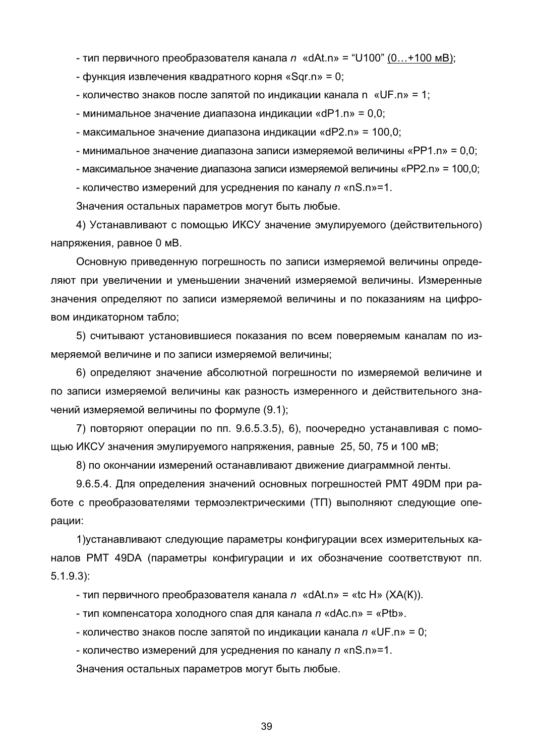- тип первичного преобразователя канала  $n \times dAt.n \times y = 0$  (0...+100 мВ);
- функция извлечения квадратного корня «Sqr.n» = 0;
- количество знаков после запятой по индикации канала n «UF.n» = 1;
- минимальное значение диапазона индикации «dP1.n» = 0.0:
- максимальное значение диапазона индикации «dP2.n» = 100.0:
- минимальное значение диапазона записи измеряемой величины «PP1.n» = 0.0:
- максимальное значение диапазона записи измеряемой величины «PP2.n» = 100.0:
- количество измерений для усреднения по каналу  $n \times nS$ .

Значения остальных параметров могут быть любые.

4) Устанавливают с помошью ИКСУ значение эмулируемого (действительного) напряжения, равное 0 мВ.

Основную приведенную погрешность по записи измеряемой величины определяют при увеличении и уменьшении значений измеряемой величины. Измеренные значения определяют по записи измеряемой величины и по показаниям на цифровом индикаторном табло;

5) считывают установившиеся показания по всем поверяемым каналам по измеряемой величине и по записи измеряемой величины;

6) определяют значение абсолютной погрешности по измеряемой величине и по записи измеряемой величины как разность измеренного и действительного значений измеряемой величины по формуле (9.1);

7) повторяют операции по пп. 9.6.5.3.5), 6), поочередно устанавливая с помощью ИКСУ значения эмулируемого напряжения, равные 25, 50, 75 и 100 мВ;

8) по окончании измерений останавливают движение диаграммной ленты.

9.6.5.4. Для определения значений основных погрешностей РМТ 49DM при работе с преобразователями термоэлектрическими (ТП) выполняют следующие операции:

1) устанавливают следующие параметры конфигурации всех измерительных каналов PMT 49DA (параметры конфигурации и их обозначение соответствуют пп.  $5.1.9.3$ :

- тип первичного преобразователя канала  $n \times dAt.n \times \text{etc } H \times (XA(K)).$ 

- тип компенсатора холодного спая для канала  $n \times dAc.n \times w = \times Ptb \times w$ .

- количество знаков после запятой по индикации канала  $n \text{ wUF.n} = 0$ ;

- количество измерений для усреднения по каналу n «nS.n»=1.

Значения остальных параметров могут быть любые.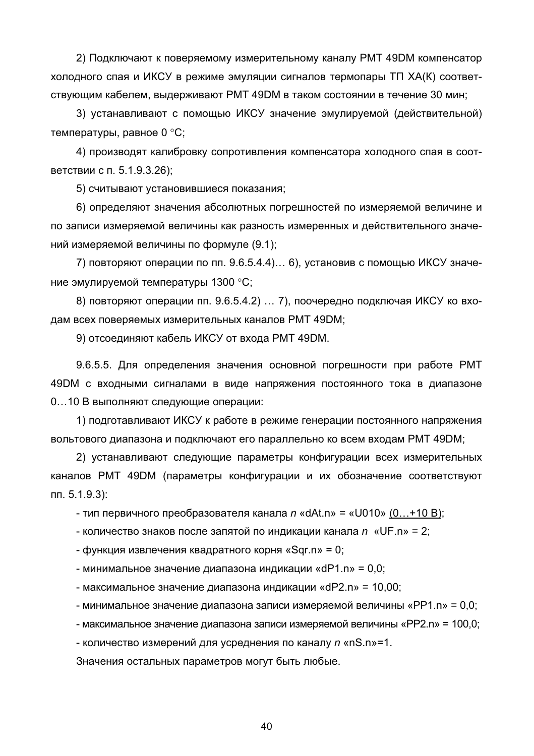2) Подключают к поверяемому измерительному каналу РМТ 49DM компенсатор холодного спая и ИКСУ в режиме эмуляции сигналов термопары ТП ХА(К) соответствующим кабелем, выдерживают РМТ 49DM в таком состоянии в течение 30 мин;

3) устанавливают с помощью ИКСУ значение эмулируемой (действительной) температуры, равное 0 °С:

4) производят калибровку сопротивления компенсатора холодного спая в соответствии с п. 5.1.9.3.26):

5) считывают установившиеся показания;

6) определяют значения абсолютных погрешностей по измеряемой величине и по записи измеряемой величины как разность измеренных и действительного значений измеряемой величины по формуле (9.1):

7) повторяют операции по пп. 9.6.5.4.4)... 6), установив с помощью ИКСУ значение эмулируемой температуры 1300 °С;

8) повторяют операции пп. 9.6.5.4.2) ... 7), поочередно подключая ИКСУ ко входам всех поверяемых измерительных каналов РМТ 49DM:

9) отсоединяют кабель ИКСУ от входа РМТ 49DM.

9.6.5.5. Для определения значения основной погрешности при работе РМТ 49DM с входными сигналами в виде напряжения постоянного тока в диапазоне 0...10 В выполняют следующие операции:

1) подготавливают ИКСУ к работе в режиме генерации постоянного напряжения вольтового диапазона и подключают его параллельно ко всем входам РМТ 49DM:

2) устанавливают следующие параметры конфигурации всех измерительных каналов PMT 49DM (параметры конфигурации и их обозначение соответствуют  $n_{\Pi}$ . 5.1.9.3):

- тип первичного преобразователя канала  $n \times dAt.n \gg \times d$  (0...+10 В):

- количество знаков после запятой по индикации канала  $n \times \text{UF.n} \ge 2$ ;

- функция извлечения квадратного корня «Sqr.n» = 0;

- минимальное значение диапазона индикации «dP1.n» = 0,0;

- максимальное значение диапазона индикации «dP2.n» = 10.00;

- минимальное значение диапазона записи измеряемой величины «PP1.n» = 0.0;

- максимальное значение диапазона записи измеряемой величины «PP2.n» = 100.0;

- количество измерений для усреднения по каналу n «nS.n»=1.

Значения остальных параметров могут быть любые.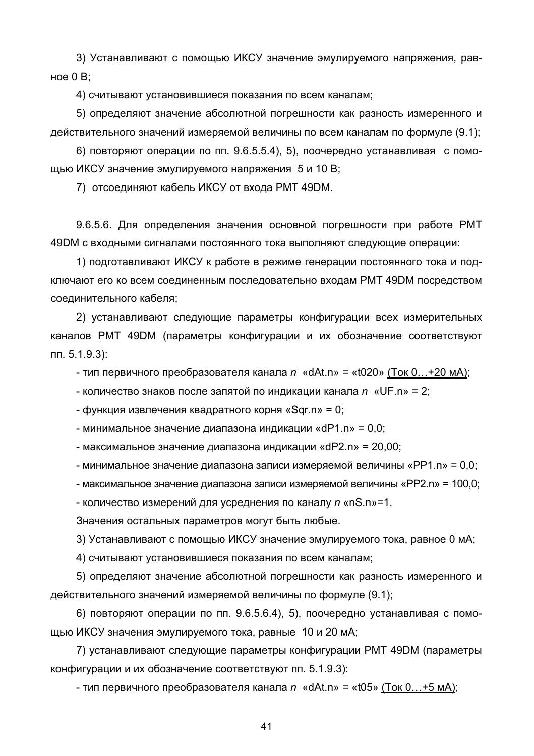3) Устанавливают с помощью ИКСУ значение эмулируемого напряжения, равное  $0, B$ 

4) считывают установившиеся показания по всем каналам;

5) определяют значение абсолютной погрешности как разность измеренного и действительного значений измеряемой величины по всем каналам по формуле (9.1);

6) повторяют операции по пп. 9.6.5.5.4), 5), поочередно устанавливая с помошью ИКСУ значение эмулируемого напряжения 5 и 10 В:

7) отсоединяют кабель ИКСУ от входа РМТ 49DM.

9.6.5.6. Для определения значения основной погрешности при работе РМТ 49DM с входными сигналами постоянного тока выполняют следующие операции:

1) подготавливают ИКСУ к работе в режиме генерации постоянного тока и подключают его ко всем соединенным последовательно входам РМТ 49DM посредством соединительного кабеля:

2) устанавливают следующие параметры конфигурации всех измерительных каналов PMT 49DM (параметры конфигурации и их обозначение соответствуют пп. 5.1.9.3):

- тип первичного преобразователя канала  $n \cdot \text{dAt.n} = \text{d}020$ » (Ток 0...+20 мА):

- количество знаков после запятой по индикации канала  $n \ll UF.n \gg 2$ ;

- функция извлечения квадратного корня «Sqr.n» = 0;

- минимальное значение диапазона индикации «dP1.n» = 0.0:

- максимальное значение диапазона индикации «dP2.n» = 20,00;

- минимальное значение диапазона записи измеряемой величины «PP1.n» = 0.0:

- максимальное значение диапазона записи измеряемой величины «PP2.n» = 100.0:

- количество измерений для усреднения по каналу n «nS.n»=1.

Значения остальных параметров могут быть любые.

3) Устанавливают с помощью ИКСУ значение эмулируемого тока, равное 0 мА;

4) считывают установившиеся показания по всем каналам;

5) определяют значение абсолютной погрешности как разность измеренного и действительного значений измеряемой величины по формуле (9.1):

6) повторяют операции по пп. 9.6.5.6.4), 5), поочередно устанавливая с помощью ИКСУ значения эмулируемого тока, равные 10 и 20 мА;

7) устанавливают следующие параметры конфигурации РМТ 49DM (параметры конфигурации и их обозначение соответствуют пп. 5.1.9.3):

- тип первичного преобразователя канала n «dAt.n» = «t05» (Ток 0...+5 мА);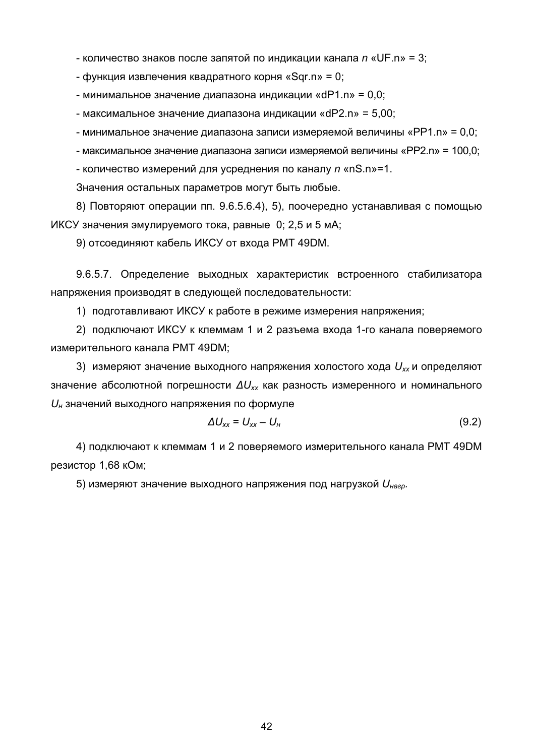- количество знаков после запятой по индикации канала  $n \text{ wUF.n} = 3$ ;
- функция извлечения квадратного корня «Sqr.n» = 0;
- минимальное значение диапазона индикации «dP1.n» = 0,0;
- максимальное значение диапазона индикации «dP2.n» =  $5.00$ :
- минимальное значение диапазона записи измеряемой величины «PP1.n» = 0,0;
- максимальное значение диапазона записи измеряемой величины «PP2.n» = 100.0:
- количество измерений для усреднения по каналу n «nS.n»=1.

Значения остальных параметров могут быть любые.

8) Повторяют операции пп. 9.6.5.6.4), 5), поочередно устанавливая с помощью ИКСУ значения эмулируемого тока, равные 0: 2.5 и 5 мА:

9) отсоединяют кабель ИКСУ от входа РМТ 49DM.

9.6.5.7. Определение выходных характеристик встроенного стабилизатора напряжения производят в следующей последовательности:

1) подготавливают ИКСУ к работе в режиме измерения напряжения;

2) подключают ИКСУ к клеммам 1 и 2 разъема входа 1-го канала поверяемого измерительного канала PMT 49DM:

3) измеряют значение выходного напряжения холостого хода  $U_{xx}$  и определяют значение абсолютной погрешности  $\Delta U_{xx}$  как разность измеренного и номинального  $U_{\scriptscriptstyle H}$  значений выходного напряжения по формуле

$$
\Delta U_{xx} = U_{xx} - U_{tt} \tag{9.2}
$$

4) подключают к клеммам 1 и 2 поверяемого измерительного канала РМТ 49DM резистор 1,68 кОм;

5) измеряют значение выходного напряжения под нагрузкой U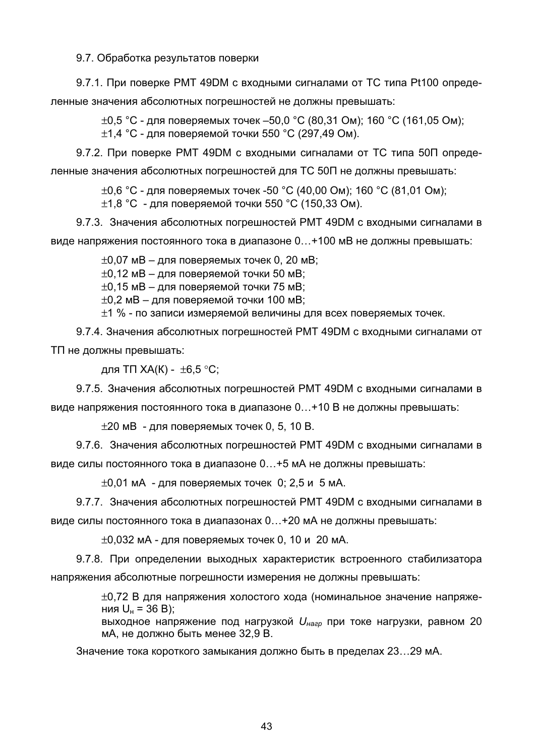9.7. Обработка результатов поверки

 $9.7.1$ . При поверке РМТ 49DM с входными сигналами от ТС типа Pt100 определенные значения абсолютных погрешностей не должны превышать:

> $\pm 0.5$  °С - для поверяемых точек –50.0 °С (80.31 Ом); 160 °С (161.05 Ом);  $\pm$ 1.4 °С - для поверяемой точки 550 °С (297.49 Ом).

9.7.2. При поверке РМТ 49DM с входными сигналами от ТС типа 50П определенные значения абсолютных погрешностей для ТС 50П не должны превышать:

 $\pm 0.6$  °С - для поверяемых точек -50 °С (40,00 Ом); 160 °С (81,01 Ом);

 $\pm$ 1,8 °С - для поверяемой точки 550 °С (150,33 Ом).

9.7.3. Значения абсолютных погрешностей РМТ 49DM с входными сигналами в виде напряжения постоянного тока в диапазоне 0...+100 мВ не должны превышать:

 $\pm 0.07$  мВ – для поверяемых точек 0, 20 мВ;

 $\pm$ 0,12 мВ – для поверяемой точки 50 мВ;

 $\pm$ 0,15 мВ – для поверяемой точки 75 мВ;

 $\pm$ 0,2 мВ – для поверяемой точки 100 мВ;

 $\pm$ 1 % - по записи измеряемой величины для всех поверяемых точек.

9.7.4. Значения абсолютных погрешностей PMT 49DM с входными сигналами от **ТП не должны превышать:** 

для ТП ХА(К) -  $\pm 6.5$  °С;

 $9.7.5.$  Значения абсолютных погрешностей РМТ 49DM с входными сигналами в виде напряжения постоянного тока в диапазоне 0...+10 В не должны превышать:

 $\pm$ 20 мВ - для поверяемых точек 0, 5, 10 В.

9.7.6. Значения абсолютных погрешностей РМТ 49DM с входными сигналами в виде силы постоянного тока в диапазоне  $0...+5$  мА не должны превышать:

 $\pm 0.01$  мА - для поверяемых точек 0; 2,5 и 5 мА.

9.7.7. Значения абсолютных погрешностей РМТ 49DM с входными сигналами в виде силы постоянного тока в диапазонах 0...+20 мА не должны превышать:

 $\pm 0.032$  мА - для поверяемых точек 0, 10 и 20 мА.

9.7.8. При определении выходных характеристик встроенного стабилизатора напряжения абсолютные погрешности измерения не должны превышать:

> $\pm$ 0,72 В для напряжения холостого хода (номинальное значение напряжения  $U_{H} = 36 B$ ;

> выходное напряжение под нагрузкой  $U_{\text{Hagn}}$  при токе нагрузки, равном 20 мА, не должно быть менее 32.9 В.

Значение тока короткого замыкания должно быть в пределах 23...29 мА.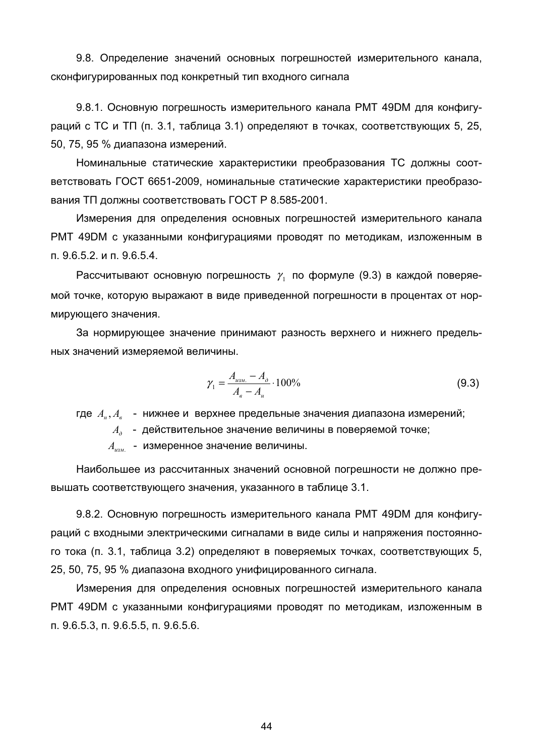9.8. Определение значений основных погрешностей измерительного канала, сконфигурированных под конкретный тип входного сигнала

9.8.1. Основную погрешность измерительного канала РМТ 49DM для конфигураций с ТС и ТП (п. 3.1, таблица 3.1) определяют в точках, соответствующих 5, 25. 50. 75. 95 % диапазона измерений.

Номинальные статические характеристики преобразования ТС должны соответствовать ГОСТ 6651-2009. номинальные статические характеристики преобразования ТП должны соответствовать ГОСТ Р 8.585-2001.

Измерения для определения основных погрешностей измерительного канала РМТ 49DM с указанными конфигурациями проводят по методикам, изложенным в п 9652 ил 9654

Рассчитывают основную погрешность  $\gamma_1$  по формуле (9.3) в каждой поверяемой точке, которую выражают в виде приведенной погрешности в процентах от нормирующего значения.

За нормирующее значение принимают разность верхнего и нижнего предельных значений измеряемой величины.

$$
Y_1 = \frac{A_{u2u} - A_o}{A_a - A_u} \cdot 100\%
$$
\n(9.3)

где  $A_u$ ,  $A_u$  - нижнее и верхнее предельные значения диапазона измерений:

 $A_{\lambda}$  - действительное значение величины в поверяемой точке;

 $A_{\mu\nu}$  - измеренное значение величины.

Наибольшее из рассчитанных значений основной погрешности не должно превышать соответствующего значения, указанного в таблице 3.1.

9.8.2. Основную погрешность измерительного канала PMT 49DM для конфигураций с входными электрическими сигналами в виде силы и напряжения постоянного тока (п. 3.1, таблица 3.2) определяют в поверяемых точках, соответствующих 5, 25, 50, 75, 95 % диапазона входного унифицированного сигнала.

Измерения для определения основных погрешностей измерительного канала РМТ 49DM с указанными конфигурациями проводят по методикам, изложенным в п. 9.6.5.3. п. 9.6.5.5. п. 9.6.5.6.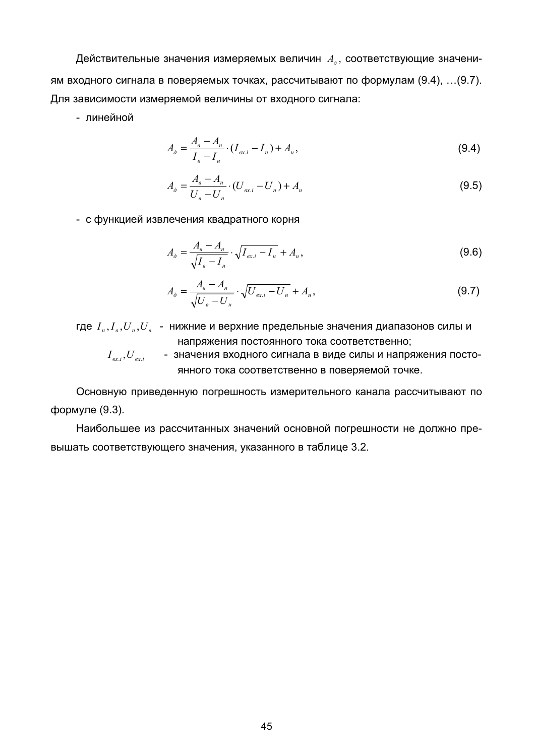Действительные значения измеряемых величин  $A_{\lambda}$ , соответствующие значениям входного сигнала в поверяемых точках, рассчитывают по формулам (9.4), ... (9.7). Для зависимости измеряемой величины от входного сигнала:

- линейной

$$
A_{\partial} = \frac{A_{s} - A_{u}}{I_{s} - I_{u}} \cdot (I_{\alpha x,i} - I_{u}) + A_{u},
$$
\n(9.4)

$$
A_{\partial} = \frac{A_{\alpha} - A_{\mu}}{U_{\alpha} - U_{\mu}} \cdot (U_{\alpha x,i} - U_{\mu}) + A_{\mu}
$$
\n(9.5)

- с функцией извлечения квадратного корня

$$
A_{\partial} = \frac{A_{s} - A_{u}}{\sqrt{I_{s} - I_{u}}} \cdot \sqrt{I_{\alpha x,i} - I_{u}} + A_{u},
$$
\n(9.6)

$$
A_{\partial} = \frac{A_{s} - A_{u}}{\sqrt{U_{s} - U_{u}}} \cdot \sqrt{U_{\alpha x,i} - U_{u}} + A_{u},
$$
\n(9.7)

где  $I_{\mu}, I_{\mu}, U_{\mu}, U_{\mu}$  - нижние и верхние предельные значения диапазонов силы и напряжения постоянного тока соответственно;

 $I_{\alpha i}, U_{\alpha i}$  - значения входного сигнала в виде силы и напряжения постоянного тока соответственно в поверяемой точке.

Основную приведенную погрешность измерительного канала рассчитывают по формуле (9.3).

Наибольшее из рассчитанных значений основной погрешности не должно превышать соответствующего значения, указанного в таблице 3.2.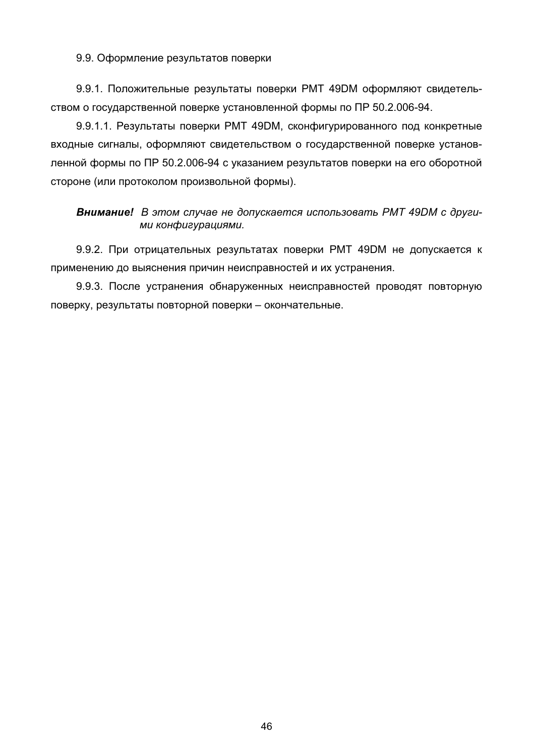9.9. Оформление результатов поверки

9.9.1. Положительные результаты поверки РМТ 49DM оформляют свидетельством о государственной поверке установленной формы по ПР 50.2.006-94.

9.9.1.1. Результаты поверки РМТ 49DM, сконфигурированного под конкретные входные сигналы, оформляют свидетельством о государственной поверке установленной формы по ПР 50.2.006-94 с указанием результатов поверки на его оборотной стороне (или протоколом произвольной формы).

Внимание! В этом случае не допускается использовать РМТ 49DM с другими конфигурациями.

9.9.2. При отрицательных результатах поверки РМТ 49DM не допускается к применению до выяснения причин неисправностей и их устранения.

9.9.3. После устранения обнаруженных неисправностей проводят повторную поверку, результаты повторной поверки - окончательные.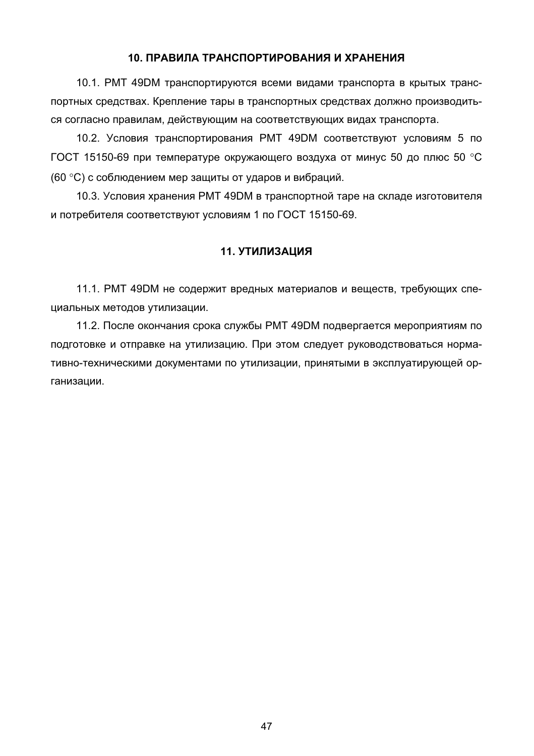#### 10. ПРАВИЛА ТРАНСПОРТИРОВАНИЯ И ХРАНЕНИЯ

10.1. РМТ 49DM транспортируются всеми видами транспорта в крытых транспортных средствах. Крепление тары в транспортных средствах должно производиться согласно правилам, действующим на соответствующих видах транспорта.

10.2. Условия транспортирования РМТ 49DM соответствуют условиям 5 по ГОСТ 15150-69 при температуре окружающего воздуха от минус 50 до плюс 50 °С (60 °C) с соблюдением мер защиты от ударов и вибраций.

10.3. Условия хранения РМТ 49DM в транспортной таре на складе изготовителя и потребителя соответствуют условиям 1 по ГОСТ 15150-69.

#### 11. УТИЛИЗАЦИЯ

11.1. РМТ 49DM не содержит вредных материалов и веществ, требующих специальных методов утилизации.

11.2. После окончания срока службы PMT 49DM подвергается мероприятиям по подготовке и отправке на утилизацию. При этом следует руководствоваться нормативно-техническими документами по утилизации, принятыми в эксплуатирующей организации.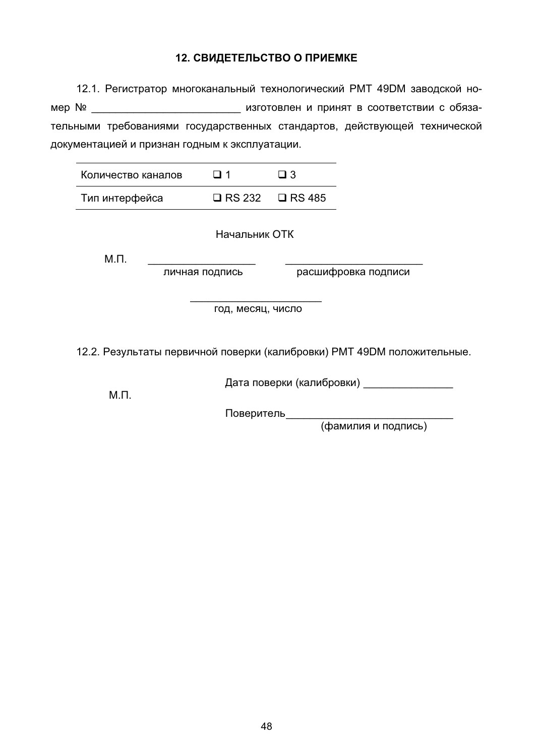#### 12. СВИДЕТЕЛЬСТВО О ПРИЕМКЕ

12.1. Регистратор многоканальный технологический РМТ 49DM заводской номер № Мер № 1999 изготовлен и принят в соответствии с обязательными требованиями государственных стандартов, действующей технической документацией и признан годным к эксплуатации.

| Количество каналов. | □ 1 | $\Box$ 3                    |  |
|---------------------|-----|-----------------------------|--|
| Тип интерфейса      |     | $\Box$ RS 232 $\Box$ RS 485 |  |

Начальник ОТК

 $M.\Pi.$ 

личная подпись расшифровка подписи

год, месяц, число

12.2. Результаты первичной поверки (калибровки) РМТ 49DM положительные.

 $M.\Pi.$ 

Поверитель

(фамилия и подпись)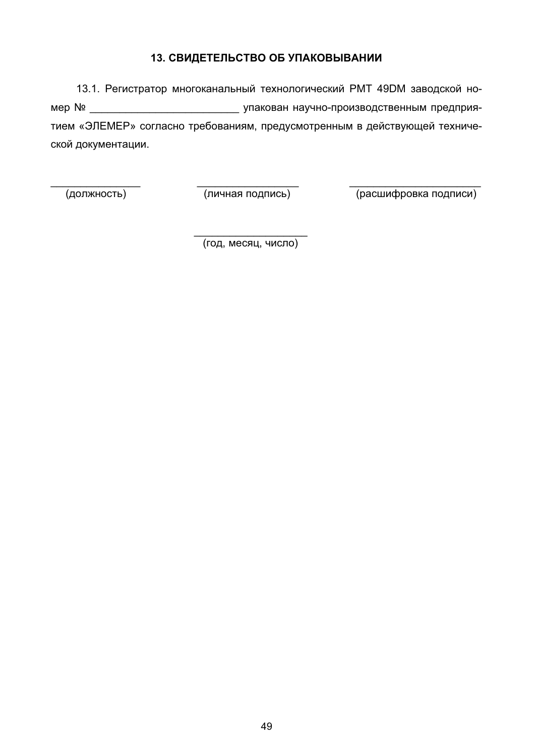## 13. СВИДЕТЕЛЬСТВО ОБ УПАКОВЫВАНИИ

13.1. Регистратор многоканальный технологический РМТ 49DM заводской но-тием «ЭЛЕМЕР» согласно требованиям, предусмотренным в действующей технической документации.

(должность)

(личная подпись)

(расшифровка подписи)

(год. месяц, число)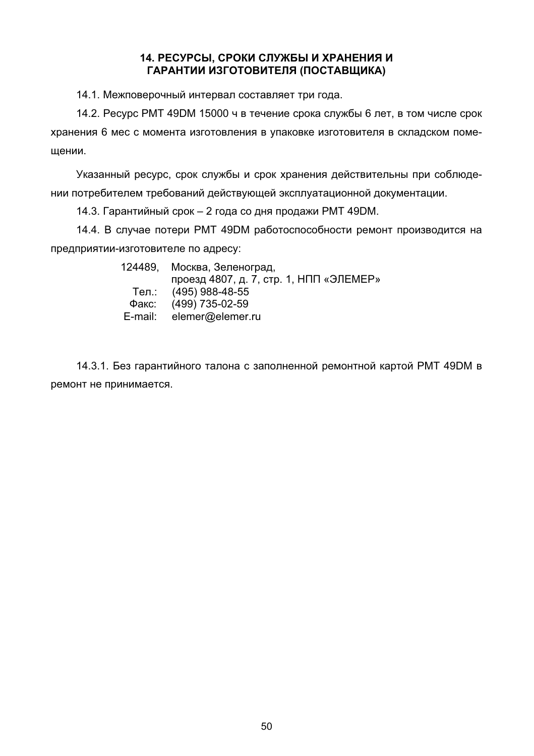## 14. РЕСУРСЫ, СРОКИ СЛУЖБЫ И ХРАНЕНИЯ И ГАРАНТИИ ИЗГОТОВИТЕЛЯ (ПОСТАВЩИКА)

14.1. Межповерочный интервал составляет три года.

14.2. Ресурс РМТ 49DM 15000 ч в течение срока службы 6 лет, в том числе срок хранения 6 мес с момента изготовления в упаковке изготовителя в складском помешении.

Указанный ресурс, срок службы и срок хранения действительны при соблюдении потребителем требований действующей эксплуатационной документации.

14.3. Гарантийный срок - 2 года со дня продажи РМТ 49DM.

14.4. В случае потери РМТ 49DM работоспособности ремонт производится на предприятии-изготовителе по адресу:

| 124489. | Москва, Зеленоград,                     |
|---------|-----------------------------------------|
|         | проезд 4807, д. 7, стр. 1, НПП «ЭЛЕМЕР» |
|         | Тел.: (495) 988-48-55                   |
| Факс:   | (499) 735-02-59                         |
| E-mail: | elemer@elemer.ru                        |

14.3.1. Без гарантийного талона с заполненной ремонтной картой РМТ 49DM в ремонт не принимается.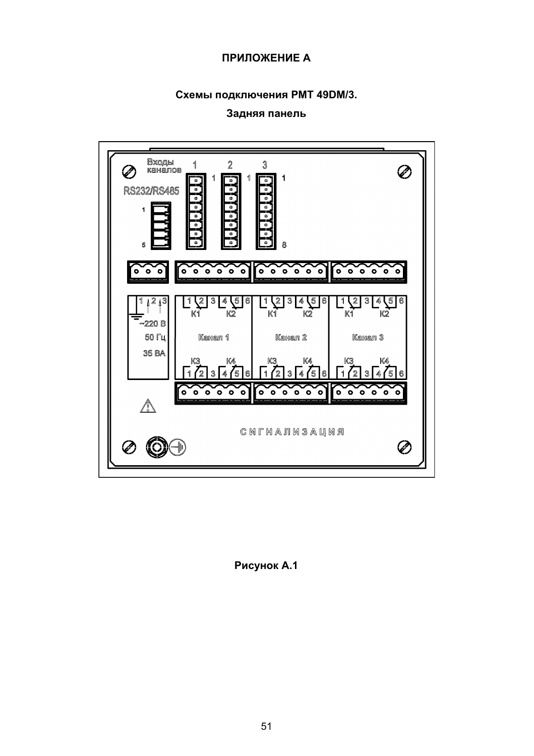# ПРИЛОЖЕНИЕ А

# Схемы подключения РМТ 49DM/3.

## Задняя панель



Рисунок А.1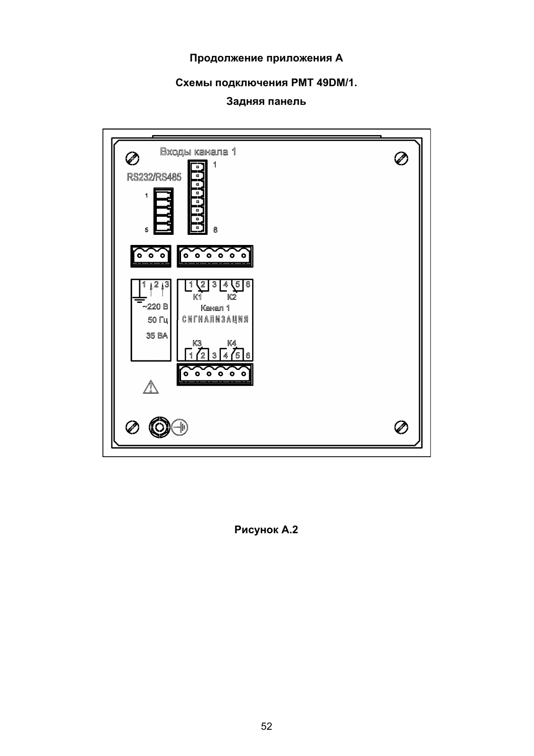# Продолжение приложения А

# Схемы подключения PMT 49DM/1.

Задняя панель



Рисунок А.2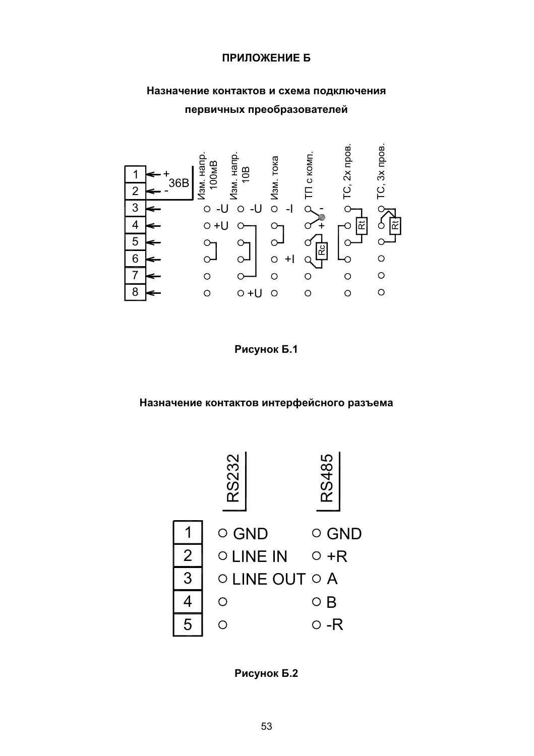# ПРИЛОЖЕНИЕ Б



Назначение контактов и схема подключения первичных преобразователей

Рисунок Б.1

Назначение контактов интерфейсного разъема



Рисунок Б.2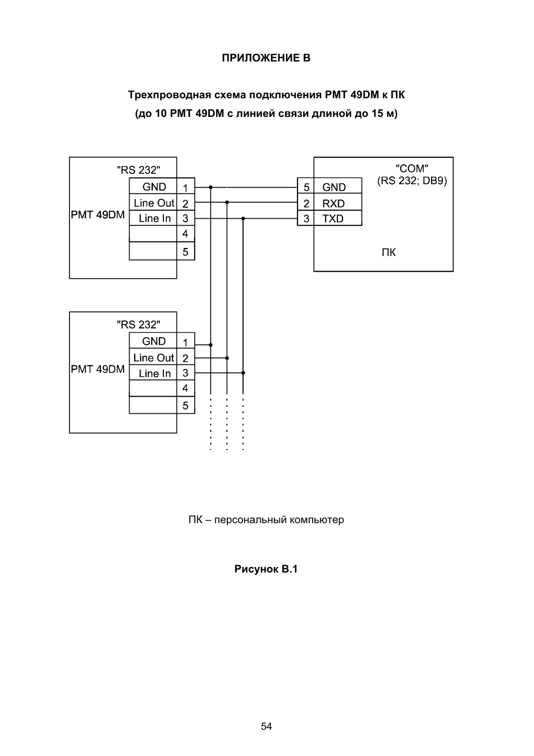# ПРИЛОЖЕНИЕ В

# Трехпроводная схема подключения РМТ 49DM к ПК (до 10 РМТ 49DM с линией связи длиной до 15 м)



ПК - персональный компьютер

# Рисунок В.1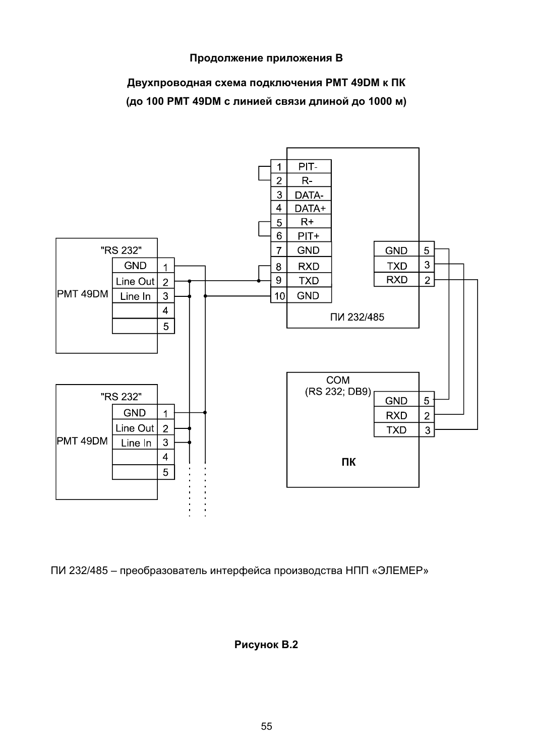#### Продолжение приложения В

Двухпроводная схема подключения РМТ 49DM к ПК (до 100 РМТ 49DM с линией связи длиной до 1000 м)



ПИ 232/485 - преобразователь интерфейса производства НПП «ЭЛЕМЕР»

## Рисунок В.2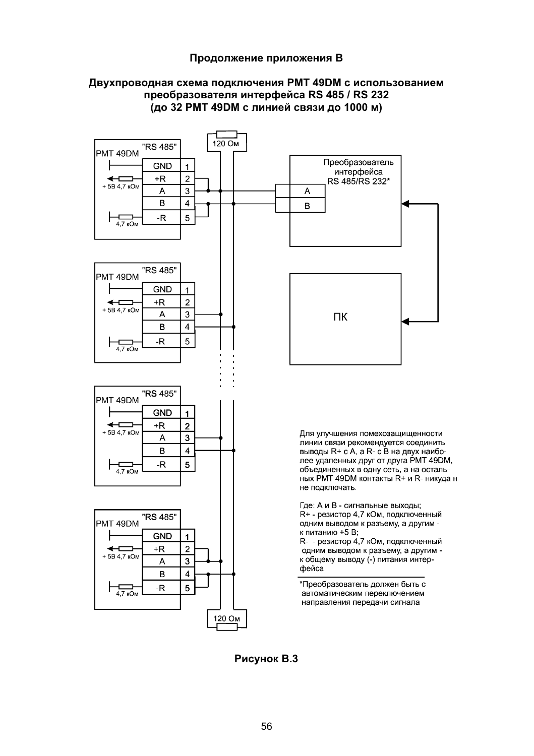#### Продолжение приложения В



#### Двухпроводная схема подключения РМТ 49DM с использованием преобразователя интерфейса RS 485 / RS 232 (до 32 РМТ 49DM с линией связи до 1000 м)

Рисунок В.3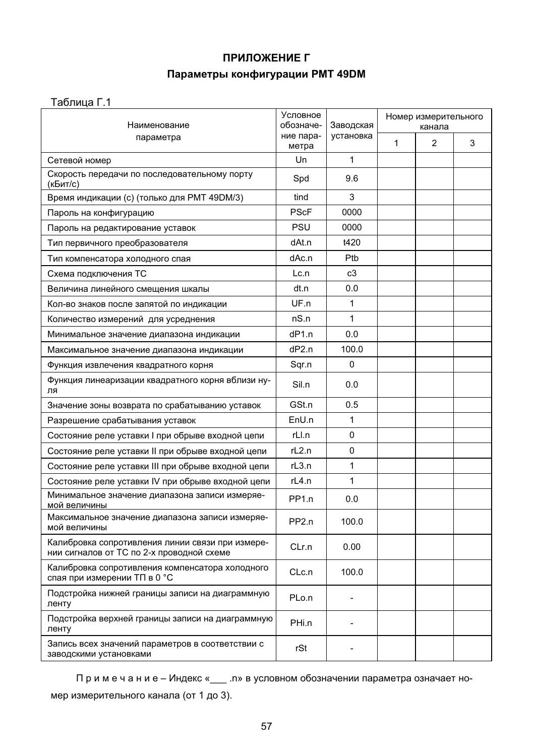# ПРИЛОЖЕНИЕ Г

# Параметры конфигурации PMT 49DM

Таблица Г.1

| Наименование                                                                                  | Условное<br>обозначе- | Заводская    | Номер измерительного<br>канала |   |   |
|-----------------------------------------------------------------------------------------------|-----------------------|--------------|--------------------------------|---|---|
| параметра                                                                                     | ние пара-<br>метра    | установка    | $\mathbf{1}$                   | 2 | 3 |
| Сетевой номер                                                                                 | Un                    | 1            |                                |   |   |
| Скорость передачи по последовательному порту<br>(кБит/с)                                      | Spd                   | 9.6          |                                |   |   |
| Время индикации (с) (только для PMT 49DM/3)                                                   | tind                  | 3            |                                |   |   |
| Пароль на конфигурацию                                                                        | <b>PScF</b>           | 0000         |                                |   |   |
| Пароль на редактирование уставок                                                              | PSU                   | 0000         |                                |   |   |
| Тип первичного преобразователя                                                                | dAt.n                 | t420         |                                |   |   |
| Тип компенсатора холодного спая                                                               | dAc.n                 | <b>Ptb</b>   |                                |   |   |
| Схема подключения ТС                                                                          | Lc.n                  | c3           |                                |   |   |
| Величина линейного смещения шкалы                                                             | dt.n                  | 0.0          |                                |   |   |
| Кол-во знаков после запятой по индикации                                                      | UF.n                  | $\mathbf{1}$ |                                |   |   |
| Количество измерений для усреднения                                                           | nS.n                  | 1            |                                |   |   |
| Минимальное значение диапазона индикации                                                      | dP1.n                 | 0.0          |                                |   |   |
| Максимальное значение диапазона индикации                                                     | dP2.n                 | 100.0        |                                |   |   |
| Функция извлечения квадратного корня                                                          | Sqr.n                 | 0            |                                |   |   |
| Функция линеаризации квадратного корня вблизи ну-<br>ля                                       | Sil.n                 | 0.0          |                                |   |   |
| Значение зоны возврата по срабатыванию уставок                                                | GSt.n                 | 0.5          |                                |   |   |
| Разрешение срабатывания уставок                                                               | EnU.n                 | 1            |                                |   |   |
| Состояние реле уставки I при обрыве входной цепи                                              | rLl.n                 | 0            |                                |   |   |
| Состояние реле уставки II при обрыве входной цепи                                             | rL2.n                 | 0            |                                |   |   |
| Состояние реле уставки III при обрыве входной цепи                                            | rL3.n                 | 1            |                                |   |   |
| Состояние реле уставки IV при обрыве входной цепи                                             | rL4.n                 | 1            |                                |   |   |
| Минимальное значение диапазона записи измеряе-<br>мой величины                                | PP <sub>1.n</sub>     | 0.0          |                                |   |   |
| Максимальное значение диапазона записи измеряе-<br>мой величины                               | PP2.n                 | 100.0        |                                |   |   |
| Калибровка сопротивления линии связи при измере-<br>нии сигналов от ТС по 2-х проводной схеме | CLr.n                 | 0.00         |                                |   |   |
| Калибровка сопротивления компенсатора холодного<br>спая при измерении ТП в 0 °С               | CLc.n                 | 100.0        |                                |   |   |
| Подстройка нижней границы записи на диаграммную<br>ленту                                      | PLo.n                 |              |                                |   |   |
| Подстройка верхней границы записи на диаграммную<br>ленту                                     | PHi.n                 |              |                                |   |   |
| Запись всех значений параметров в соответствии с<br>заводскими установками                    | rSt                   |              |                                |   |   |

Примечание - Индекс «\_\_\_\_. п» в условном обозначении параметра означает но-

мер измерительного канала (от 1 до 3).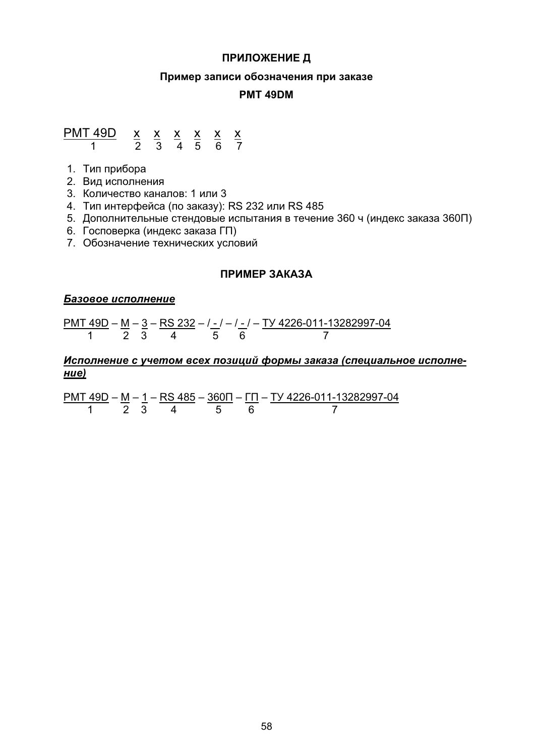## ПРИЛОЖЕНИЕ Д

#### Пример записи обозначения при заказе

#### **PMT 49DM**

## $PMT 49D$  x x x x x x 1 2 3 4 5 6 7

- 1. Тип прибора
- 2. Вид исполнения
- $3.$  Количество каналов: 1 или  $3.$
- 4. Тип интерфейса (по заказу): RS 232 или RS 485
- 5. Дополнительные стендовые испытания в течение 360 ч (индекс заказа 360П)
- 6. Госповерка (индекс заказа ГП)
- 7. Обозначение технических условий

# **ПРИМЕР ЗАКАЗА**

#### **Базовое исполнение**

 $PMT 49D - M - 3 - RS 232 - / - / - / - - TY 4226-011-13282997-04$  $\overline{1}$   $\overline{2}$   $\overline{3}$   $\overline{4}$   $\overline{5}$   $\overline{6}$   $\overline{7}$ 

## Исполнение с vчетом всех позиций формы заказа (специальное исполнение)

 $PMT 49D - M - 1 - RS 485 - 360T - TT - TY 4226-011-13282997-04$  $\frac{1}{2}$   $\frac{1}{2}$   $\frac{1}{3}$   $\frac{1}{4}$   $\frac{1}{5}$   $\frac{1}{6}$   $\frac{1}{7}$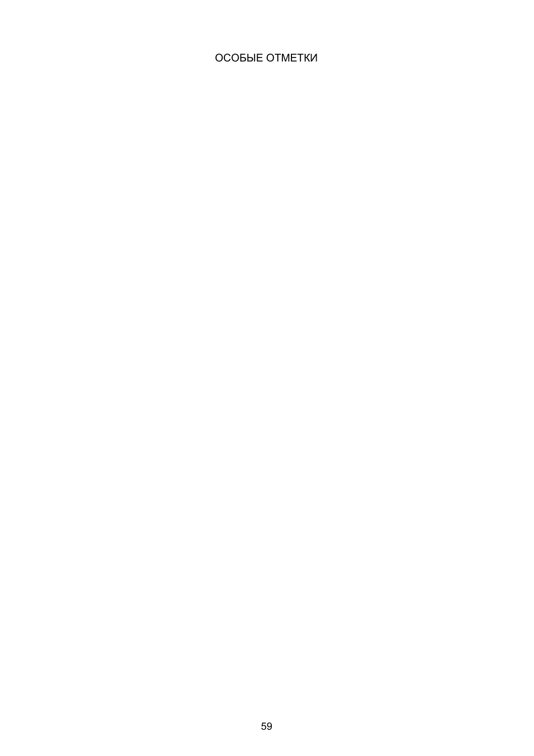# ОСОБЫЕ ОТМЕТКИ